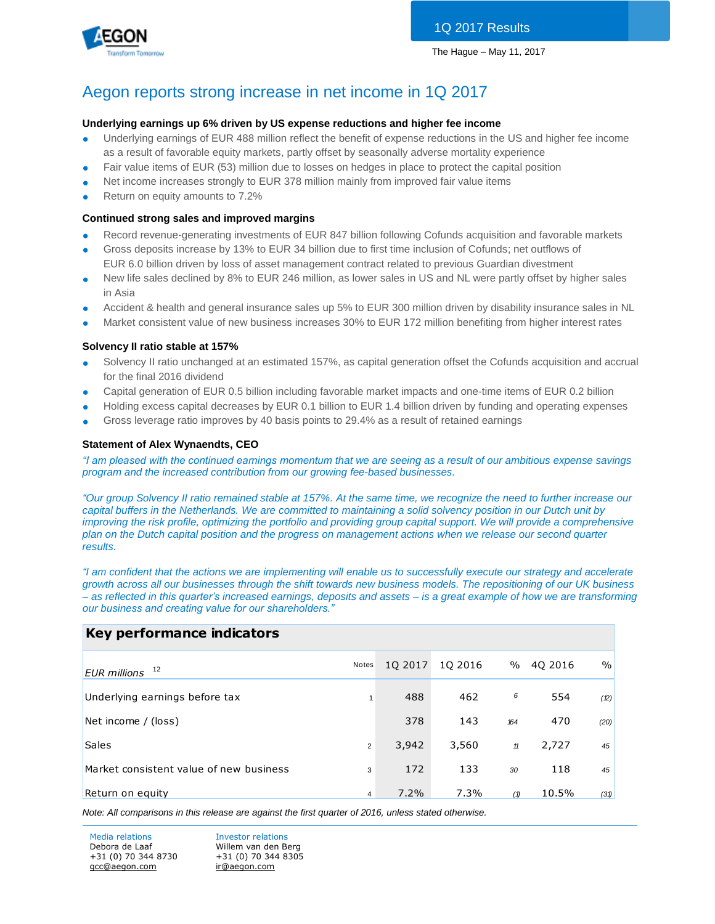

# Aegon reports strong increase in net income in 1Q 2017

#### **Underlying earnings up 6% driven by US expense reductions and higher fee income**

- Underlying earnings of EUR 488 million reflect the benefit of expense reductions in the US and higher fee income as a result of favorable equity markets, partly offset by seasonally adverse mortality experience
- Fair value items of EUR (53) million due to losses on hedges in place to protect the capital position
- Net income increases strongly to EUR 378 million mainly from improved fair value items
- Return on equity amounts to 7.2%

#### **Continued strong sales and improved margins**

- Record revenue-generating investments of EUR 847 billion following Cofunds acquisition and favorable markets
- Gross deposits increase by 13% to EUR 34 billion due to first time inclusion of Cofunds; net outflows of EUR 6.0 billion driven by loss of asset management contract related to previous Guardian divestment
- New life sales declined by 8% to EUR 246 million, as lower sales in US and NL were partly offset by higher sales in Asia
- Accident & health and general insurance sales up 5% to EUR 300 million driven by disability insurance sales in NL
- Market consistent value of new business increases 30% to EUR 172 million benefiting from higher interest rates

#### **Solvency II ratio stable at 157%**

- Solvency II ratio unchanged at an estimated 157%, as capital generation offset the Cofunds acquisition and accrual for the final 2016 dividend
- Capital generation of EUR 0.5 billion including favorable market impacts and one-time items of EUR 0.2 billion
- Holding excess capital decreases by EUR 0.1 billion to EUR 1.4 billion driven by funding and operating expenses
- Gross leverage ratio improves by 40 basis points to 29.4% as a result of retained earnings

#### **Statement of Alex Wynaendts, CEO**

*"I am pleased with the continued earnings momentum that we are seeing as a result of our ambitious expense savings program and the increased contribution from our growing fee-based businesses.* 

*"Our group Solvency II ratio remained stable at 157%. At the same time, we recognize the need to further increase our capital buffers in the Netherlands. We are committed to maintaining a solid solvency position in our Dutch unit by improving the risk profile, optimizing the portfolio and providing group capital support. We will provide a comprehensive plan on the Dutch capital position and the progress on management actions when we release our second quarter results.* 

*"I am confident that the actions we are implementing will enable us to successfully execute our strategy and accelerate growth across all our businesses through the shift towards new business models. The repositioning of our UK business – as reflected in this quarter's increased earnings, deposits and assets – is a great example of how we are transforming our business and creating value for our shareholders."*

# **Key performance indicators**

| 12<br><b>EUR</b> millions               | Notes          | 10 2017 | 10 2016 | $\%$ | 40 2016 | $\%$ |
|-----------------------------------------|----------------|---------|---------|------|---------|------|
| Underlying earnings before tax          | 1              | 488     | 462     | 6    | 554     | (2)  |
| Net income / (loss)                     |                | 378     | 143     | 164  | 470     | (20) |
| <b>Sales</b>                            | $\overline{2}$ | 3,942   | 3,560   | $11$ | 2,727   | 45   |
| Market consistent value of new business | 3              | 172     | 133     | 30   | 118     | 45   |
| Return on equity                        | 4              | $7.2\%$ | 7.3%    | (1)  | 10.5%   | (31) |

*Note: All comparisons in this release are against the first quarter of 2016, unless stated otherwise.*

Media relations **Investor relations** Debora de Laaf Willem van den Berg +31 (0) 70 344 8730 +31 (0) 70 344 8305 [gcc@aegon.com](mailto:gcc@aegon.com) [ir@aegon.com](mailto:ir@aegon.com)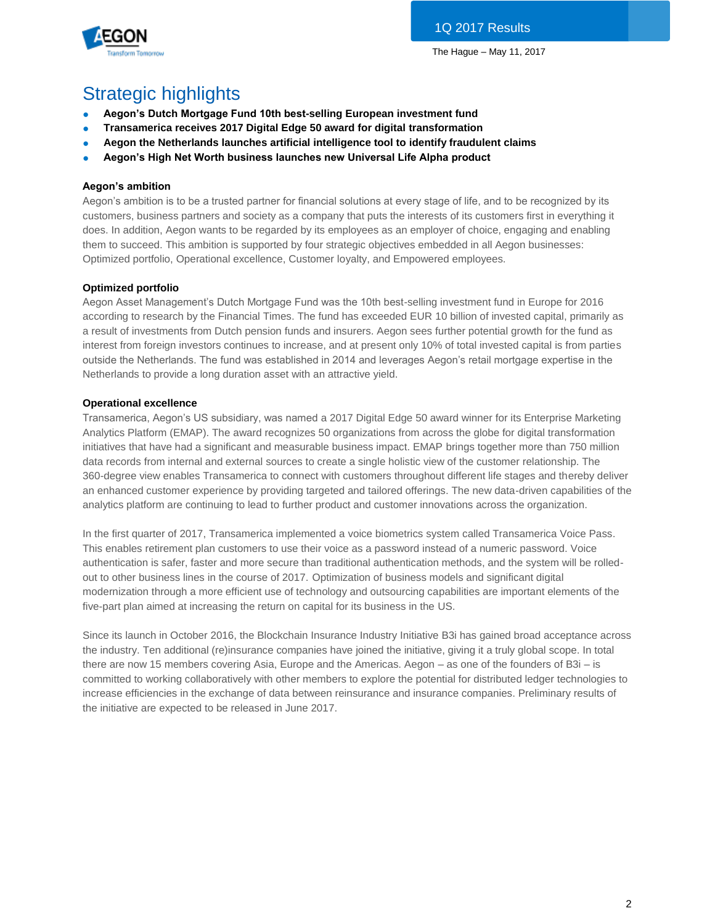

# Strategic highlights

- **Aegon's Dutch Mortgage Fund 10th best-selling European investment fund**
- **Transamerica receives 2017 Digital Edge 50 award for digital transformation**
- **Aegon the Netherlands launches artificial intelligence tool to identify fraudulent claims**
- **Aegon's High Net Worth business launches new Universal Life Alpha product**

# **Aegon's ambition**

Aegon's ambition is to be a trusted partner for financial solutions at every stage of life, and to be recognized by its customers, business partners and society as a company that puts the interests of its customers first in everything it does. In addition, Aegon wants to be regarded by its employees as an employer of choice, engaging and enabling them to succeed. This ambition is supported by four strategic objectives embedded in all Aegon businesses: Optimized portfolio, Operational excellence, Customer loyalty, and Empowered employees.

# **Optimized portfolio**

Aegon Asset Management's Dutch Mortgage Fund was the 10th best-selling investment fund in Europe for 2016 according to research by the Financial Times. The fund has exceeded EUR 10 billion of invested capital, primarily as a result of investments from Dutch pension funds and insurers. Aegon sees further potential growth for the fund as interest from foreign investors continues to increase, and at present only 10% of total invested capital is from parties outside the Netherlands. The fund was established in 2014 and leverages Aegon's retail mortgage expertise in the Netherlands to provide a long duration asset with an attractive yield.

# **Operational excellence**

Transamerica, Aegon's US subsidiary, was named a 2017 Digital Edge 50 award winner for its Enterprise Marketing Analytics Platform (EMAP). The award recognizes 50 organizations from across the globe for digital transformation initiatives that have had a significant and measurable business impact. EMAP brings together more than 750 million data records from internal and external sources to create a single holistic view of the customer relationship. The 360-degree view enables Transamerica to connect with customers throughout different life stages and thereby deliver an enhanced customer experience by providing targeted and tailored offerings. The new data-driven capabilities of the analytics platform are continuing to lead to further product and customer innovations across the organization.

In the first quarter of 2017, Transamerica implemented a voice biometrics system called Transamerica Voice Pass. This enables retirement plan customers to use their voice as a password instead of a numeric password. Voice authentication is safer, faster and more secure than traditional authentication methods, and the system will be rolledout to other business lines in the course of 2017. Optimization of business models and significant digital modernization through a more efficient use of technology and outsourcing capabilities are important elements of the five-part plan aimed at increasing the return on capital for its business in the US.

Since its launch in October 2016, the Blockchain Insurance Industry Initiative B3i has gained broad acceptance across the industry. Ten additional (re)insurance companies have joined the initiative, giving it a truly global scope. In total there are now 15 members covering Asia, Europe and the Americas. Aegon – as one of the founders of B3i – is committed to working collaboratively with other members to explore the potential for distributed ledger technologies to increase efficiencies in the exchange of data between reinsurance and insurance companies. Preliminary results of the initiative are expected to be released in June 2017.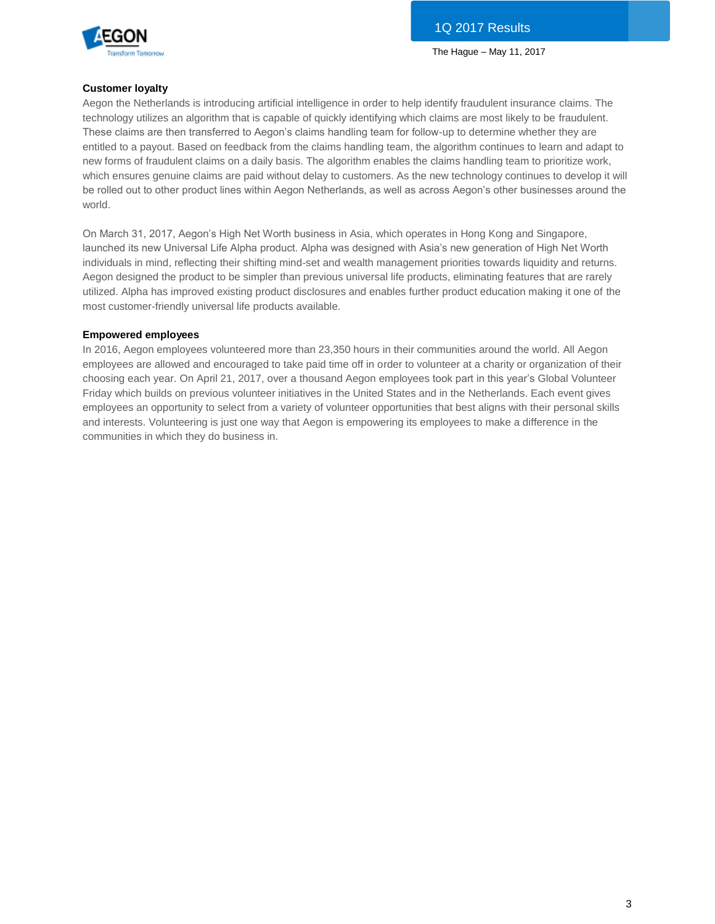

#### **Customer loyalty**

Aegon the Netherlands is introducing artificial intelligence in order to help identify fraudulent insurance claims. The technology utilizes an algorithm that is capable of quickly identifying which claims are most likely to be fraudulent. These claims are then transferred to Aegon's claims handling team for follow-up to determine whether they are entitled to a payout. Based on feedback from the claims handling team, the algorithm continues to learn and adapt to new forms of fraudulent claims on a daily basis. The algorithm enables the claims handling team to prioritize work, which ensures genuine claims are paid without delay to customers. As the new technology continues to develop it will be rolled out to other product lines within Aegon Netherlands, as well as across Aegon's other businesses around the world.

On March 31, 2017, Aegon's High Net Worth business in Asia, which operates in Hong Kong and Singapore, launched its new Universal Life Alpha product. Alpha was designed with Asia's new generation of High Net Worth individuals in mind, reflecting their shifting mind-set and wealth management priorities towards liquidity and returns. Aegon designed the product to be simpler than previous universal life products, eliminating features that are rarely utilized. Alpha has improved existing product disclosures and enables further product education making it one of the most customer-friendly universal life products available.

#### **Empowered employees**

In 2016, Aegon employees volunteered more than 23,350 hours in their communities around the world. All Aegon employees are allowed and encouraged to take paid time off in order to volunteer at a charity or organization of their choosing each year. On April 21, 2017, over a thousand Aegon employees took part in this year's Global Volunteer Friday which builds on previous volunteer initiatives in the United States and in the Netherlands. Each event gives employees an opportunity to select from a variety of volunteer opportunities that best aligns with their personal skills and interests. Volunteering is just one way that Aegon is empowering its employees to make a difference in the communities in which they do business in.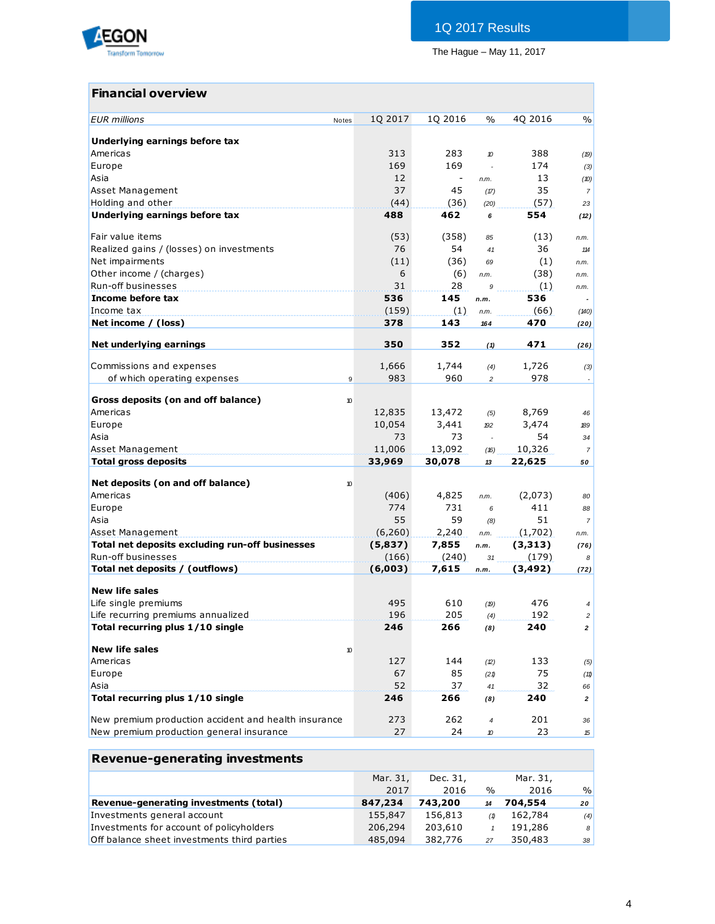

# **Financial overview**

| <b>EUR</b> millions                                                    | Notes | 1Q 2017    | 1Q 2016                  | $\%$           | 4Q 2016    | $\frac{0}{0}$  |
|------------------------------------------------------------------------|-------|------------|--------------------------|----------------|------------|----------------|
|                                                                        |       |            |                          |                |            |                |
| Underlying earnings before tax                                         |       |            |                          |                |            |                |
| Americas                                                               |       | 313        | 283                      | 10             | 388        | (19)           |
| Europe                                                                 |       | 169        | 169                      | $\overline{a}$ | 174        | (3)            |
| Asia                                                                   |       | 12         | $\overline{\phantom{a}}$ | n.m.           | 13         | (10)           |
| Asset Management                                                       |       | 37         | 45                       | (17)           | 35         | $\overline{7}$ |
| Holding and other                                                      |       | (44)       | (36)                     | (20)           | (57)       | 23             |
| Underlying earnings before tax                                         |       | 488        | 462                      | 6              | 554        | (12)           |
| Fair value items                                                       |       | (53)       | (358)                    | 85             | (13)       |                |
| Realized gains / (losses) on investments                               |       | 76         | 54                       | 41             | 36         | n.m.<br>114    |
| Net impairments                                                        |       | (11)       | (36)                     | 69             | (1)        | n.m.           |
| Other income / (charges)                                               |       | 6          | (6)                      | n.m.           | (38)       | n.m.           |
| Run-off businesses                                                     |       | 31         | 28                       | 9              | (1)        | n.m.           |
| Income before tax                                                      |       | 536        | 145                      | n.m.           | 536        |                |
| Income tax                                                             |       | (159)      | (1)                      | n.m.           | (66)       | (140)          |
| Net income / (loss)                                                    |       | 378        | 143                      | 164            | 470        | (20)           |
|                                                                        |       |            |                          |                |            |                |
| Net underlying earnings                                                |       | 350        | 352                      | (1)            | 471        | (26)           |
|                                                                        |       |            |                          |                |            |                |
| Commissions and expenses                                               |       | 1,666      | 1,744                    | (4)            | 1,726      | (3)            |
| of which operating expenses                                            | 9     | 983        | 960                      | $\overline{c}$ | 978        |                |
| Gross deposits (on and off balance)                                    | 10    |            |                          |                |            |                |
| Americas                                                               |       | 12,835     | 13,472                   | (5)            | 8,769      | 46             |
| Europe                                                                 |       | 10,054     | 3,441                    | 192            | 3,474      | 189            |
| Asia                                                                   |       | 73         | 73                       |                | 54         | 34             |
| Asset Management                                                       |       | 11,006     | 13,092                   | (16)           | 10,326     | $\overline{7}$ |
| <b>Total gross deposits</b>                                            |       | 33,969     | 30,078                   | 13             | 22,625     | 50             |
|                                                                        |       |            |                          |                |            |                |
| Net deposits (on and off balance)                                      | 10    |            |                          |                |            |                |
| Americas                                                               |       | (406)      | 4,825                    | n.m.           | (2,073)    | 80             |
| Europe                                                                 |       | 774        | 731                      | 6              | 411        | 88             |
| Asia                                                                   |       | 55         | 59                       | (8)            | 51         | $\overline{7}$ |
| Asset Management                                                       |       | (6,260)    | 2,240                    | n.m.           | (1,702)    | n.m.           |
| Total net deposits excluding run-off businesses                        |       | (5,837)    | 7,855                    | n.m.           | (3,313)    | (76)           |
| <b>Run-off businesses</b>                                              |       | (166)      | (240)                    | 31             | (179)      | 8              |
| Total net deposits / (outflows)                                        |       | (6,003)    | 7,615                    | n.m.           | (3,492)    | (72)           |
|                                                                        |       |            |                          |                |            |                |
| <b>New life sales</b>                                                  |       |            |                          |                |            |                |
| Life single premiums                                                   |       | 495<br>196 | 610<br>205               | (19)           | 476<br>192 | 4              |
| Life recurring premiums annualized<br>Total recurring plus 1/10 single |       |            |                          | (4)            | 240        | $\overline{c}$ |
|                                                                        |       | 246        | 266                      | (8)            |            | $\mathbf{2}$   |
| <b>New life sales</b>                                                  | $10$  |            |                          |                |            |                |
| Americas                                                               |       | 127        | 144                      | (2)            | 133        | (5)            |
| Europe                                                                 |       | 67         | 85                       | (21)           | 75         | (11)           |
| Asia                                                                   |       | 52         | 37                       | 41             | 32         | 66             |
| Total recurring plus 1/10 single                                       |       | 246        | 266                      | (8)            | 240        | $\mathbf{2}$   |
|                                                                        |       |            |                          |                |            |                |
| New premium production accident and health insurance                   |       | 273        | 262                      | $\overline{4}$ | 201        | 36             |
| New premium production general insurance                               |       | 27         | 24                       | 10             | 23         | 15             |
|                                                                        |       |            |                          |                |            |                |

# **Revenue-generating investments**

|                                             | Mar. 31, | Dec. 31, |               | Mar. 31, |                 |
|---------------------------------------------|----------|----------|---------------|----------|-----------------|
|                                             | 2017     | 2016     | $\frac{0}{0}$ | 2016     | $\%$            |
| Revenue-generating investments (total)      | 847,234  | 743,200  | 14            | 704,554  | 20 <sup>1</sup> |
| Investments general account                 | 155,847  | 156,813  | (1)           | 162,784  | (4)             |
| Investments for account of policyholders    | 206,294  | 203,610  |               | 191,286  | 8 <sup>1</sup>  |
| Off balance sheet investments third parties | 485,094  | 382,776  | 27            | 350,483  | 38              |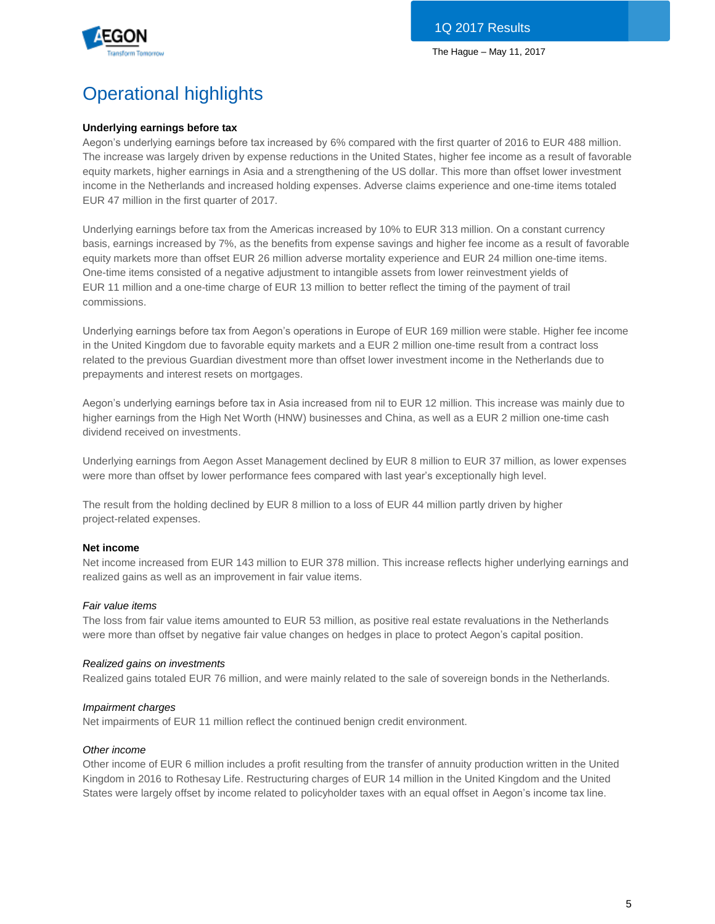

# Operational highlights

# **Underlying earnings before tax**

Aegon's underlying earnings before tax increased by 6% compared with the first quarter of 2016 to EUR 488 million. The increase was largely driven by expense reductions in the United States, higher fee income as a result of favorable equity markets, higher earnings in Asia and a strengthening of the US dollar. This more than offset lower investment income in the Netherlands and increased holding expenses. Adverse claims experience and one-time items totaled EUR 47 million in the first quarter of 2017.

Underlying earnings before tax from the Americas increased by 10% to EUR 313 million. On a constant currency basis, earnings increased by 7%, as the benefits from expense savings and higher fee income as a result of favorable equity markets more than offset EUR 26 million adverse mortality experience and EUR 24 million one-time items. One-time items consisted of a negative adjustment to intangible assets from lower reinvestment yields of EUR 11 million and a one-time charge of EUR 13 million to better reflect the timing of the payment of trail commissions.

Underlying earnings before tax from Aegon's operations in Europe of EUR 169 million were stable. Higher fee income in the United Kingdom due to favorable equity markets and a EUR 2 million one-time result from a contract loss related to the previous Guardian divestment more than offset lower investment income in the Netherlands due to prepayments and interest resets on mortgages.

Aegon's underlying earnings before tax in Asia increased from nil to EUR 12 million. This increase was mainly due to higher earnings from the High Net Worth (HNW) businesses and China, as well as a EUR 2 million one-time cash dividend received on investments.

Underlying earnings from Aegon Asset Management declined by EUR 8 million to EUR 37 million, as lower expenses were more than offset by lower performance fees compared with last year's exceptionally high level.

The result from the holding declined by EUR 8 million to a loss of EUR 44 million partly driven by higher project-related expenses.

# **Net income**

Net income increased from EUR 143 million to EUR 378 million. This increase reflects higher underlying earnings and realized gains as well as an improvement in fair value items.

# *Fair value items*

The loss from fair value items amounted to EUR 53 million, as positive real estate revaluations in the Netherlands were more than offset by negative fair value changes on hedges in place to protect Aegon's capital position.

#### *Realized gains on investments*

Realized gains totaled EUR 76 million, and were mainly related to the sale of sovereign bonds in the Netherlands.

#### *Impairment charges*

Net impairments of EUR 11 million reflect the continued benign credit environment.

# *Other income*

Other income of EUR 6 million includes a profit resulting from the transfer of annuity production written in the United Kingdom in 2016 to Rothesay Life. Restructuring charges of EUR 14 million in the United Kingdom and the United States were largely offset by income related to policyholder taxes with an equal offset in Aegon's income tax line.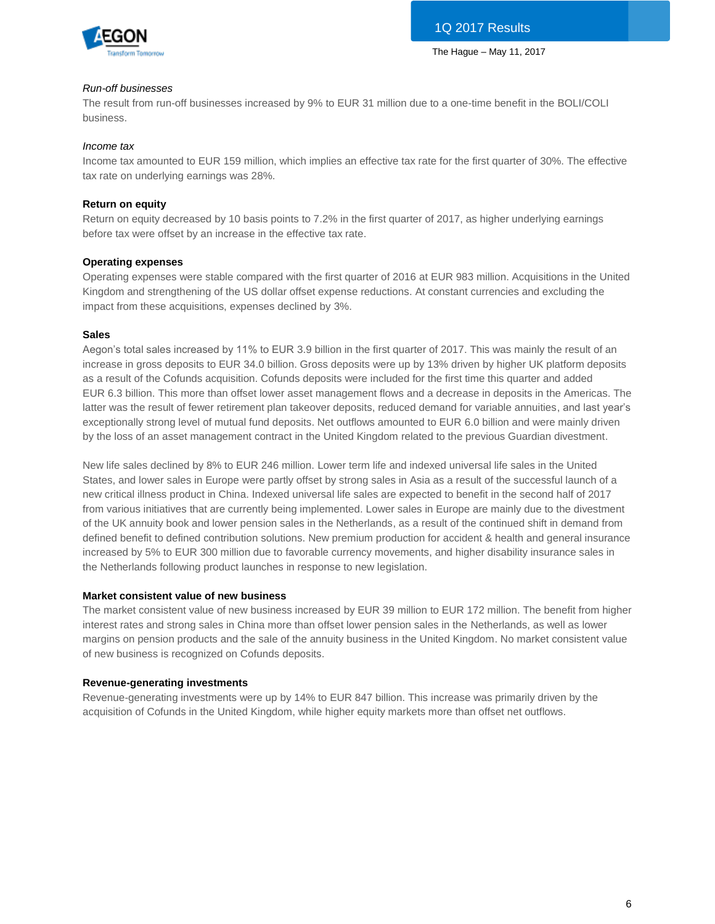

### *Run-off businesses*

The result from run-off businesses increased by 9% to EUR 31 million due to a one-time benefit in the BOLI/COLI business.

#### *Income tax*

Income tax amounted to EUR 159 million, which implies an effective tax rate for the first quarter of 30%. The effective tax rate on underlying earnings was 28%.

### **Return on equity**

Return on equity decreased by 10 basis points to 7.2% in the first quarter of 2017, as higher underlying earnings before tax were offset by an increase in the effective tax rate.

#### **Operating expenses**

Operating expenses were stable compared with the first quarter of 2016 at EUR 983 million. Acquisitions in the United Kingdom and strengthening of the US dollar offset expense reductions. At constant currencies and excluding the impact from these acquisitions, expenses declined by 3%.

### **Sales**

Aegon's total sales increased by 11% to EUR 3.9 billion in the first quarter of 2017. This was mainly the result of an increase in gross deposits to EUR 34.0 billion. Gross deposits were up by 13% driven by higher UK platform deposits as a result of the Cofunds acquisition. Cofunds deposits were included for the first time this quarter and added EUR 6.3 billion. This more than offset lower asset management flows and a decrease in deposits in the Americas. The latter was the result of fewer retirement plan takeover deposits, reduced demand for variable annuities, and last year's exceptionally strong level of mutual fund deposits. Net outflows amounted to EUR 6.0 billion and were mainly driven by the loss of an asset management contract in the United Kingdom related to the previous Guardian divestment.

New life sales declined by 8% to EUR 246 million. Lower term life and indexed universal life sales in the United States, and lower sales in Europe were partly offset by strong sales in Asia as a result of the successful launch of a new critical illness product in China. Indexed universal life sales are expected to benefit in the second half of 2017 from various initiatives that are currently being implemented. Lower sales in Europe are mainly due to the divestment of the UK annuity book and lower pension sales in the Netherlands, as a result of the continued shift in demand from defined benefit to defined contribution solutions. New premium production for accident & health and general insurance increased by 5% to EUR 300 million due to favorable currency movements, and higher disability insurance sales in the Netherlands following product launches in response to new legislation.

# **Market consistent value of new business**

The market consistent value of new business increased by EUR 39 million to EUR 172 million. The benefit from higher interest rates and strong sales in China more than offset lower pension sales in the Netherlands, as well as lower margins on pension products and the sale of the annuity business in the United Kingdom. No market consistent value of new business is recognized on Cofunds deposits.

#### **Revenue-generating investments**

Revenue-generating investments were up by 14% to EUR 847 billion. This increase was primarily driven by the acquisition of Cofunds in the United Kingdom, while higher equity markets more than offset net outflows.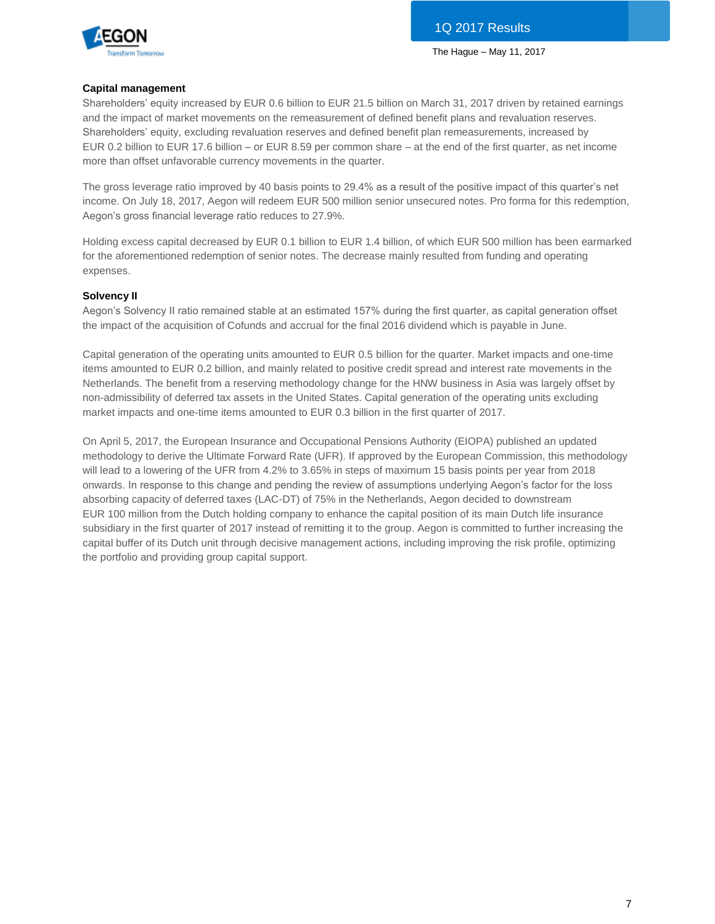

#### **Capital management**

Shareholders' equity increased by EUR 0.6 billion to EUR 21.5 billion on March 31, 2017 driven by retained earnings and the impact of market movements on the remeasurement of defined benefit plans and revaluation reserves. Shareholders' equity, excluding revaluation reserves and defined benefit plan remeasurements, increased by EUR 0.2 billion to EUR 17.6 billion – or EUR 8.59 per common share – at the end of the first quarter, as net income more than offset unfavorable currency movements in the quarter.

The gross leverage ratio improved by 40 basis points to 29.4% as a result of the positive impact of this quarter's net income. On July 18, 2017, Aegon will redeem EUR 500 million senior unsecured notes. Pro forma for this redemption, Aegon's gross financial leverage ratio reduces to 27.9%.

Holding excess capital decreased by EUR 0.1 billion to EUR 1.4 billion, of which EUR 500 million has been earmarked for the aforementioned redemption of senior notes. The decrease mainly resulted from funding and operating expenses.

### **Solvency II**

Aegon's Solvency II ratio remained stable at an estimated 157% during the first quarter, as capital generation offset the impact of the acquisition of Cofunds and accrual for the final 2016 dividend which is payable in June.

Capital generation of the operating units amounted to EUR 0.5 billion for the quarter. Market impacts and one-time items amounted to EUR 0.2 billion, and mainly related to positive credit spread and interest rate movements in the Netherlands. The benefit from a reserving methodology change for the HNW business in Asia was largely offset by non-admissibility of deferred tax assets in the United States. Capital generation of the operating units excluding market impacts and one-time items amounted to EUR 0.3 billion in the first quarter of 2017.

On April 5, 2017, the European Insurance and Occupational Pensions Authority (EIOPA) published an updated methodology to derive the Ultimate Forward Rate (UFR). If approved by the European Commission, this methodology will lead to a lowering of the UFR from 4.2% to 3.65% in steps of maximum 15 basis points per year from 2018 onwards. In response to this change and pending the review of assumptions underlying Aegon's factor for the loss absorbing capacity of deferred taxes (LAC-DT) of 75% in the Netherlands, Aegon decided to downstream EUR 100 million from the Dutch holding company to enhance the capital position of its main Dutch life insurance subsidiary in the first quarter of 2017 instead of remitting it to the group. Aegon is committed to further increasing the capital buffer of its Dutch unit through decisive management actions, including improving the risk profile, optimizing the portfolio and providing group capital support.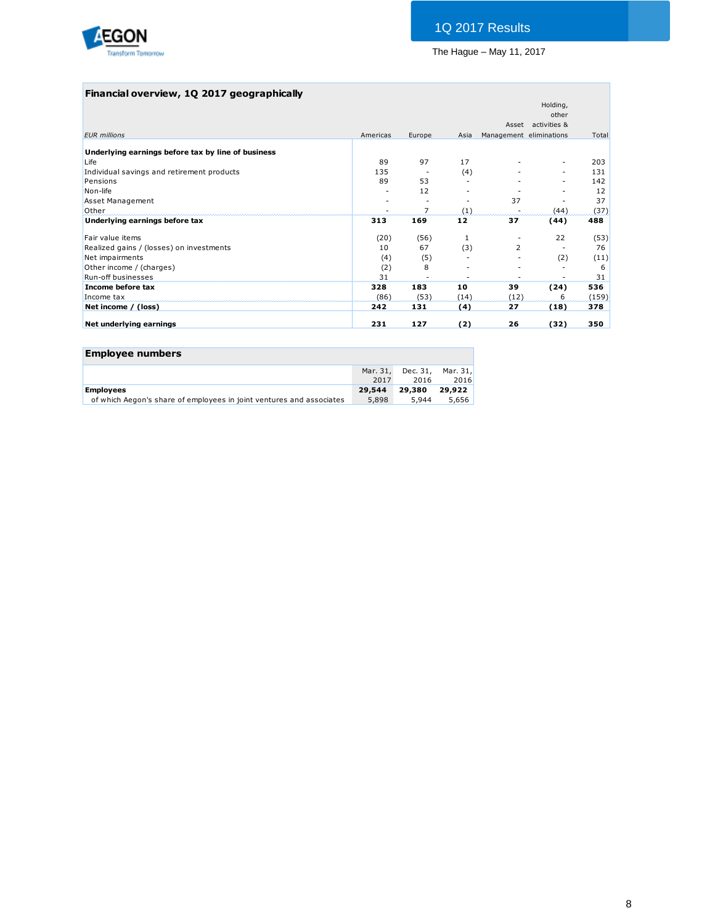

# **Financial overview, 1Q 2017 geographically**

| Americas<br>Europe<br>89<br>97<br>135<br>89<br>53<br>12 | Asia<br>17<br>(4)                                    |                     | Asset activities &<br>Management eliminations<br>٠<br>٠ | Total<br>203<br>131 |
|---------------------------------------------------------|------------------------------------------------------|---------------------|---------------------------------------------------------|---------------------|
|                                                         |                                                      |                     |                                                         |                     |
|                                                         |                                                      |                     |                                                         |                     |
|                                                         |                                                      |                     |                                                         |                     |
|                                                         |                                                      |                     |                                                         |                     |
|                                                         |                                                      |                     |                                                         |                     |
|                                                         |                                                      |                     |                                                         | 142                 |
|                                                         |                                                      |                     |                                                         | 12                  |
|                                                         |                                                      | 37                  |                                                         | 37                  |
|                                                         | (1)                                                  |                     | (44)                                                    | (37)                |
| 169                                                     | 12                                                   | 37                  | (44)                                                    | 488                 |
|                                                         | 1                                                    |                     | 22                                                      | (53)                |
| 67                                                      | (3)                                                  | $\overline{2}$      |                                                         | 76                  |
|                                                         |                                                      |                     | (2)                                                     | (11)                |
| 8                                                       |                                                      |                     |                                                         | 6                   |
|                                                         |                                                      |                     |                                                         | 31                  |
| 183                                                     | 10                                                   | 39                  | (24)                                                    | 536                 |
|                                                         | (14)                                                 |                     | 6                                                       | (159)               |
| 131                                                     | (4)                                                  | 27                  | (18)                                                    | 378                 |
| 127                                                     | (2)                                                  | 26                  | (32)                                                    | 350                 |
| 313<br>231                                              | (20)<br>10<br>(4)<br>(2)<br>31<br>328<br>(86)<br>242 | (56)<br>(5)<br>(53) |                                                         | (12)                |

| <b>Employee numbers</b>                                              |          |          |          |
|----------------------------------------------------------------------|----------|----------|----------|
|                                                                      | Mar. 31, | Dec. 31. | Mar. 31, |
|                                                                      | 2017     | 2016     | 2016     |
| <b>Employees</b>                                                     | 29,544   | 29,380   | 29,922   |
| of which Aegon's share of employees in joint ventures and associates | 5,898    | 5.944    | 5.656    |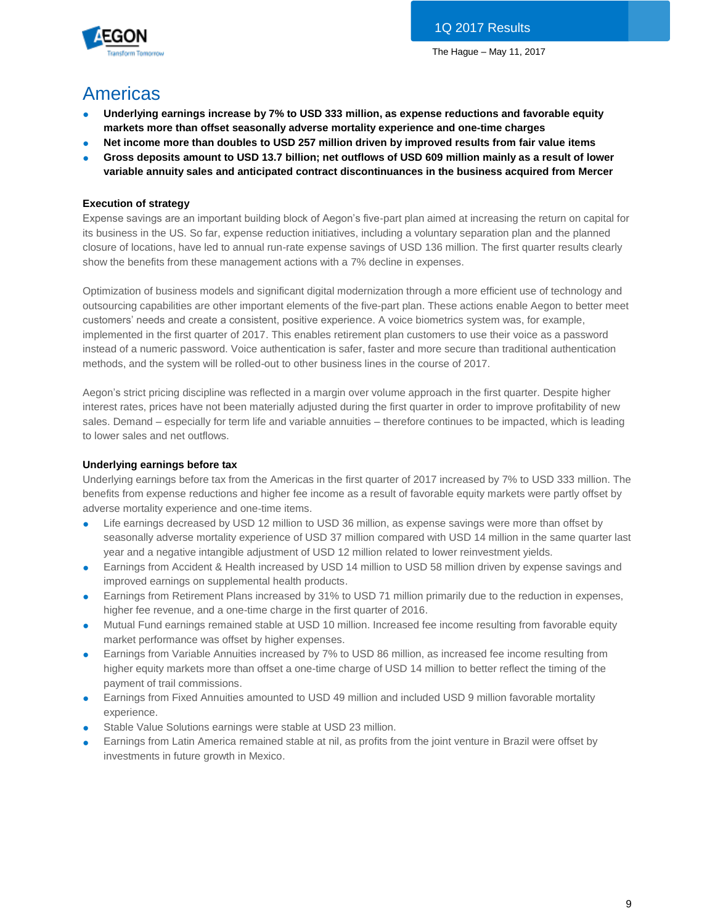

# Americas

- **Underlying earnings increase by 7% to USD 333 million, as expense reductions and favorable equity markets more than offset seasonally adverse mortality experience and one-time charges**
- Net income more than doubles to USD 257 million driven by improved results from fair value items
- **Gross deposits amount to USD 13.7 billion; net outflows of USD 609 million mainly as a result of lower variable annuity sales and anticipated contract discontinuances in the business acquired from Mercer**

# **Execution of strategy**

Expense savings are an important building block of Aegon's five-part plan aimed at increasing the return on capital for its business in the US. So far, expense reduction initiatives, including a voluntary separation plan and the planned closure of locations, have led to annual run-rate expense savings of USD 136 million. The first quarter results clearly show the benefits from these management actions with a 7% decline in expenses.

Optimization of business models and significant digital modernization through a more efficient use of technology and outsourcing capabilities are other important elements of the five-part plan. These actions enable Aegon to better meet customers' needs and create a consistent, positive experience. A voice biometrics system was, for example, implemented in the first quarter of 2017. This enables retirement plan customers to use their voice as a password instead of a numeric password. Voice authentication is safer, faster and more secure than traditional authentication methods, and the system will be rolled-out to other business lines in the course of 2017.

Aegon's strict pricing discipline was reflected in a margin over volume approach in the first quarter. Despite higher interest rates, prices have not been materially adjusted during the first quarter in order to improve profitability of new sales. Demand – especially for term life and variable annuities – therefore continues to be impacted, which is leading to lower sales and net outflows.

# **Underlying earnings before tax**

Underlying earnings before tax from the Americas in the first quarter of 2017 increased by 7% to USD 333 million. The benefits from expense reductions and higher fee income as a result of favorable equity markets were partly offset by adverse mortality experience and one-time items.

- Life earnings decreased by USD 12 million to USD 36 million, as expense savings were more than offset by seasonally adverse mortality experience of USD 37 million compared with USD 14 million in the same quarter last year and a negative intangible adjustment of USD 12 million related to lower reinvestment yields.
- Earnings from Accident & Health increased by USD 14 million to USD 58 million driven by expense savings and improved earnings on supplemental health products.
- Earnings from Retirement Plans increased by 31% to USD 71 million primarily due to the reduction in expenses, higher fee revenue, and a one-time charge in the first quarter of 2016.
- Mutual Fund earnings remained stable at USD 10 million. Increased fee income resulting from favorable equity market performance was offset by higher expenses.
- Earnings from Variable Annuities increased by 7% to USD 86 million, as increased fee income resulting from higher equity markets more than offset a one-time charge of USD 14 million to better reflect the timing of the payment of trail commissions.
- Earnings from Fixed Annuities amounted to USD 49 million and included USD 9 million favorable mortality experience.
- Stable Value Solutions earnings were stable at USD 23 million.
- Earnings from Latin America remained stable at nil, as profits from the joint venture in Brazil were offset by investments in future growth in Mexico.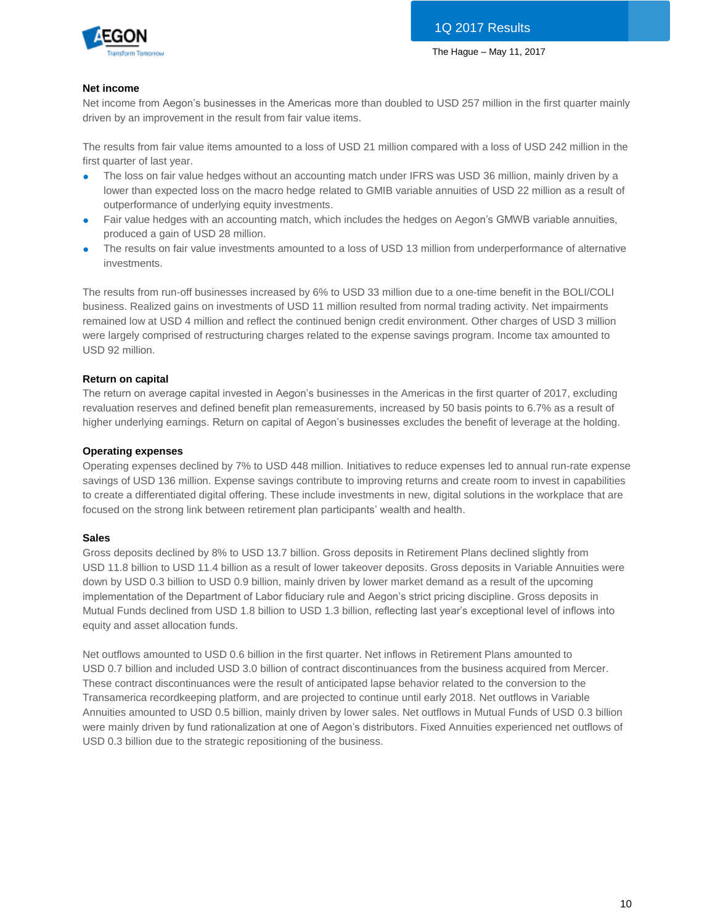

# **Net income**

Net income from Aegon's businesses in the Americas more than doubled to USD 257 million in the first quarter mainly driven by an improvement in the result from fair value items.

The results from fair value items amounted to a loss of USD 21 million compared with a loss of USD 242 million in the first quarter of last year.

- The loss on fair value hedges without an accounting match under IFRS was USD 36 million, mainly driven by a lower than expected loss on the macro hedge related to GMIB variable annuities of USD 22 million as a result of outperformance of underlying equity investments.
- Fair value hedges with an accounting match, which includes the hedges on Aegon's GMWB variable annuities, produced a gain of USD 28 million.
- The results on fair value investments amounted to a loss of USD 13 million from underperformance of alternative investments.

The results from run-off businesses increased by 6% to USD 33 million due to a one-time benefit in the BOLI/COLI business. Realized gains on investments of USD 11 million resulted from normal trading activity. Net impairments remained low at USD 4 million and reflect the continued benign credit environment. Other charges of USD 3 million were largely comprised of restructuring charges related to the expense savings program. Income tax amounted to USD 92 million.

### **Return on capital**

The return on average capital invested in Aegon's businesses in the Americas in the first quarter of 2017, excluding revaluation reserves and defined benefit plan remeasurements, increased by 50 basis points to 6.7% as a result of higher underlying earnings. Return on capital of Aegon's businesses excludes the benefit of leverage at the holding.

### **Operating expenses**

Operating expenses declined by 7% to USD 448 million. Initiatives to reduce expenses led to annual run-rate expense savings of USD 136 million. Expense savings contribute to improving returns and create room to invest in capabilities to create a differentiated digital offering. These include investments in new, digital solutions in the workplace that are focused on the strong link between retirement plan participants' wealth and health.

#### **Sales**

Gross deposits declined by 8% to USD 13.7 billion. Gross deposits in Retirement Plans declined slightly from USD 11.8 billion to USD 11.4 billion as a result of lower takeover deposits. Gross deposits in Variable Annuities were down by USD 0.3 billion to USD 0.9 billion, mainly driven by lower market demand as a result of the upcoming implementation of the Department of Labor fiduciary rule and Aegon's strict pricing discipline. Gross deposits in Mutual Funds declined from USD 1.8 billion to USD 1.3 billion, reflecting last year's exceptional level of inflows into equity and asset allocation funds.

Net outflows amounted to USD 0.6 billion in the first quarter. Net inflows in Retirement Plans amounted to USD 0.7 billion and included USD 3.0 billion of contract discontinuances from the business acquired from Mercer. These contract discontinuances were the result of anticipated lapse behavior related to the conversion to the Transamerica recordkeeping platform, and are projected to continue until early 2018. Net outflows in Variable Annuities amounted to USD 0.5 billion, mainly driven by lower sales. Net outflows in Mutual Funds of USD 0.3 billion were mainly driven by fund rationalization at one of Aegon's distributors. Fixed Annuities experienced net outflows of USD 0.3 billion due to the strategic repositioning of the business.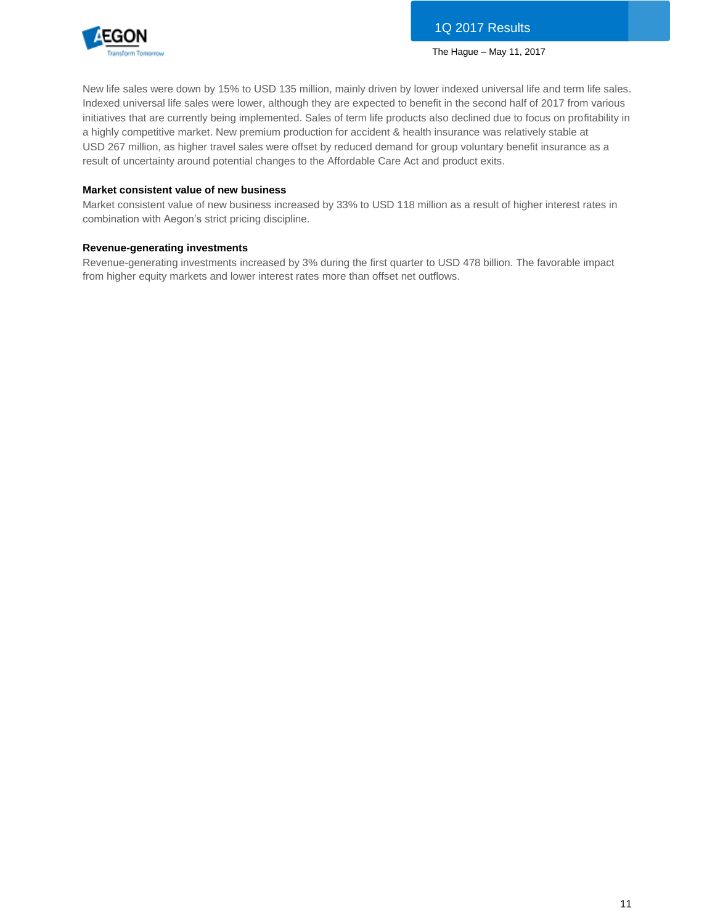

New life sales were down by 15% to USD 135 million, mainly driven by lower indexed universal life and term life sales. Indexed universal life sales were lower, although they are expected to benefit in the second half of 2017 from various initiatives that are currently being implemented. Sales of term life products also declined due to focus on profitability in a highly competitive market. New premium production for accident & health insurance was relatively stable at USD 267 million, as higher travel sales were offset by reduced demand for group voluntary benefit insurance as a result of uncertainty around potential changes to the Affordable Care Act and product exits.

#### **Market consistent value of new business**

Market consistent value of new business increased by 33% to USD 118 million as a result of higher interest rates in combination with Aegon's strict pricing discipline.

### **Revenue-generating investments**

Revenue-generating investments increased by 3% during the first quarter to USD 478 billion. The favorable impact from higher equity markets and lower interest rates more than offset net outflows.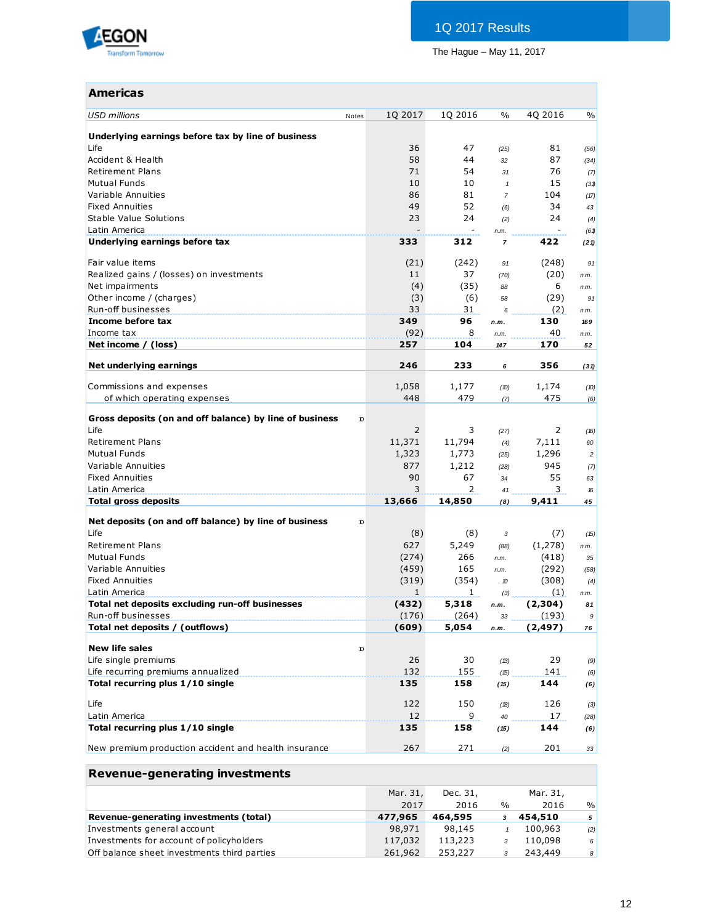

# **Americas**

| USD millions                                            | 1Q 2017<br>Notes | 1Q 2016      | $\%$             | 4Q 2016  | $\%$           |
|---------------------------------------------------------|------------------|--------------|------------------|----------|----------------|
| Underlying earnings before tax by line of business      |                  |              |                  |          |                |
| Life                                                    | 36               | 47           | (25)             | 81       | (56)           |
| Accident & Health                                       | 58               | 44           | 32               | 87       | (34)           |
| <b>Retirement Plans</b>                                 | 71               | 54           | 31               | 76       | (7)            |
| <b>Mutual Funds</b>                                     | 10               | 10           | $\mathbf{1}$     | 15       | (31)           |
| Variable Annuities                                      | 86               | 81           | $\overline{7}$   | 104      | (17)           |
| <b>Fixed Annuities</b>                                  | 49               | 52           | (6)              | 34       | 43             |
| Stable Value Solutions                                  | 23               | 24           | (2)              | 24       | (4)            |
| Latin America                                           |                  |              | n.m.             |          | (61)           |
| Underlying earnings before tax                          | 333              | 312          | $\overline{7}$   | 422      | (21)           |
| Fair value items                                        | (21)             | (242)        | 91               | (248)    | 91             |
| Realized gains / (losses) on investments                | 11               | 37           | (70)             | (20)     | n.m.           |
| Net impairments                                         | (4)              | (35)         | 88               | 6        | n.m.           |
| Other income / (charges)                                | (3)              | (6)          | 58               | (29)     | 91             |
| Run-off businesses                                      | 33               | 31           | 6                | (2)      | n.m.           |
| Income before tax                                       | 349              | 96           | n.m.             | 130      | 169            |
| Income tax                                              | (92)             | 8            | n.m.             | 40       | n.m.           |
| Net income / (loss)                                     | 257              | 104          | 147              | 170      | 52             |
| Net underlying earnings                                 | 246              | 233          | 6                | 356      | (31)           |
| Commissions and expenses                                | 1,058            | 1,177        | (D)              | 1,174    | (10)           |
| of which operating expenses                             | 448              | 479          | (7)              | 475      | (6)            |
|                                                         |                  |              |                  |          |                |
| Gross deposits (on and off balance) by line of business | 10               |              |                  |          |                |
| Life                                                    | 2                | 3            | (27)             | 2        | (16)           |
| <b>Retirement Plans</b>                                 | 11,371           | 11,794       | (4)              | 7,111    | 60             |
| <b>Mutual Funds</b>                                     | 1,323            | 1,773        | (25)             | 1,296    | $\overline{c}$ |
| Variable Annuities                                      | 877              | 1,212        | (28)             | 945      | (7)            |
| <b>Fixed Annuities</b>                                  | 90               | 67           | 34               | 55       | 63             |
| Latin America                                           | 3                | 2            | 41               | 3        | 16             |
| <b>Total gross deposits</b>                             | 13,666           | 14,850       | (8)              | 9,411    | 45             |
| Net deposits (on and off balance) by line of business   | 10               |              |                  |          |                |
| Life                                                    | (8)              | (8)          | 3                | (7)      | (15)           |
| <b>Retirement Plans</b>                                 | 627              | 5,249        | (88)             | (1,278)  | n.m.           |
| <b>Mutual Funds</b>                                     | (274)            | 266          | n.m.             | (418)    | 35             |
| Variable Annuities                                      | (459)            | 165          | n.m.             | (292)    | (58)           |
| <b>Fixed Annuities</b>                                  | (319)            | (354)        | $\boldsymbol{v}$ | (308)    | (4)            |
| Latin America                                           | $\mathbf{1}$     | $\mathbf{1}$ | (3)              | (1)      | n.m.           |
| Total net deposits excluding run-off businesses         | (432)            | 5,318        | n.m.             | (2,304)  | 81             |
| Run-off businesses                                      | (176)            | (264)        | 33               | (193)    | 9              |
| Total net deposits / (outflows)                         | (609)            | 5,054        | n.m.             | (2, 497) | 76             |
| <b>New life sales</b>                                   | $10$             |              |                  |          |                |
| Life single premiums                                    | 26               | 30           | (13)             | 29       | (9)            |
| Life recurring premiums annualized                      | 132              | 155          | (15)             | 141      | (6)            |
| Total recurring plus 1/10 single                        | 135              | 158          | (15)             | 144      | (6)            |
| Life                                                    | 122              | 150          | (18)             | 126      | (3)            |
| Latin America                                           | 12               | 9            | 40               | 17       | (28)           |
| Total recurring plus 1/10 single                        | 135              | 158          | (15)             | 144      | (6)            |
|                                                         |                  |              |                  |          |                |
| New premium production accident and health insurance    | 267              | 271          | (2)              | 201      | 33             |
| <b>Revenue-generating investments</b>                   |                  |              |                  |          |                |
|                                                         | Mar. 31,         | Dec. 31,     |                  | Mar. 31, |                |
|                                                         | 2017             | 2016         | $\%$             | 2016     | $\%$           |
| Revenue-generating investments (total)                  | 477,965          | 464,595      | 3                | 454,510  | 5              |
| Investments general account                             | 98,971           | 98,145       | $\mathbf{1}$     | 100,963  | (2)            |
| Investments for account of policyholders                | 117,032          | 113,223      | 3                | 110,098  | 6              |
|                                                         |                  |              |                  |          |                |

Investments general account 98,971 98,145 *1* 100,963 *(2)* Investments for account of policyholders 117,032 113,223 *3* 110,098 *6* Off balance sheet investments third parties 261,962 253,227 *3* 243,449 *8*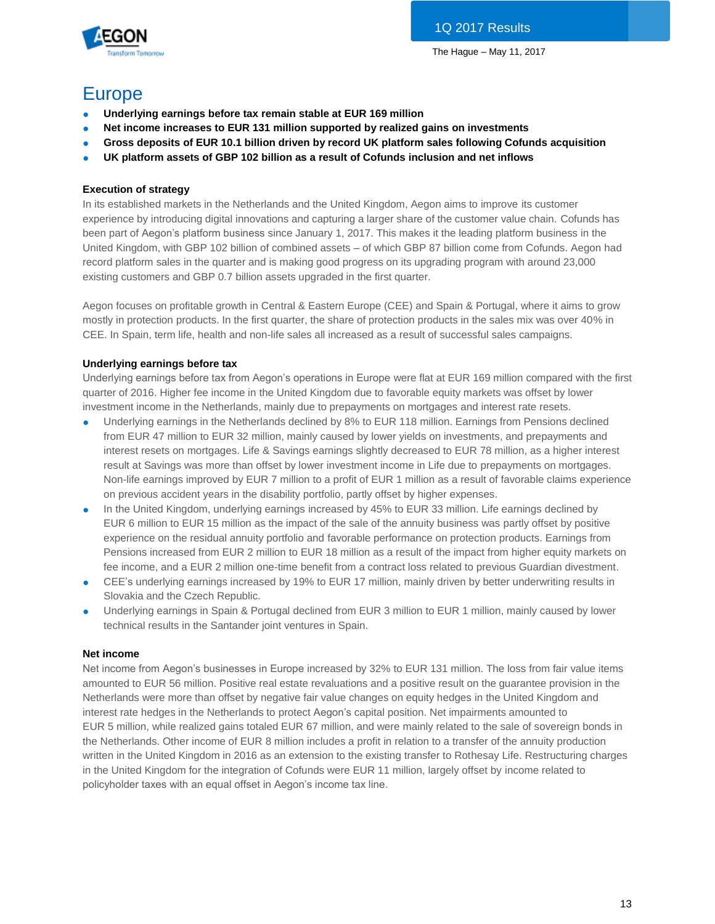

# Europe

- **Underlying earnings before tax remain stable at EUR 169 million**
- **Net income increases to EUR 131 million supported by realized gains on investments**
- **Gross deposits of EUR 10.1 billion driven by record UK platform sales following Cofunds acquisition**
- **UK platform assets of GBP 102 billion as a result of Cofunds inclusion and net inflows**

# **Execution of strategy**

In its established markets in the Netherlands and the United Kingdom, Aegon aims to improve its customer experience by introducing digital innovations and capturing a larger share of the customer value chain. Cofunds has been part of Aegon's platform business since January 1, 2017. This makes it the leading platform business in the United Kingdom, with GBP 102 billion of combined assets – of which GBP 87 billion come from Cofunds. Aegon had record platform sales in the quarter and is making good progress on its upgrading program with around 23,000 existing customers and GBP 0.7 billion assets upgraded in the first quarter.

Aegon focuses on profitable growth in Central & Eastern Europe (CEE) and Spain & Portugal, where it aims to grow mostly in protection products. In the first quarter, the share of protection products in the sales mix was over 40% in CEE. In Spain, term life, health and non-life sales all increased as a result of successful sales campaigns.

# **Underlying earnings before tax**

Underlying earnings before tax from Aegon's operations in Europe were flat at EUR 169 million compared with the first quarter of 2016. Higher fee income in the United Kingdom due to favorable equity markets was offset by lower investment income in the Netherlands, mainly due to prepayments on mortgages and interest rate resets.

- Underlying earnings in the Netherlands declined by 8% to EUR 118 million. Earnings from Pensions declined from EUR 47 million to EUR 32 million, mainly caused by lower yields on investments, and prepayments and interest resets on mortgages. Life & Savings earnings slightly decreased to EUR 78 million, as a higher interest result at Savings was more than offset by lower investment income in Life due to prepayments on mortgages. Non-life earnings improved by EUR 7 million to a profit of EUR 1 million as a result of favorable claims experience on previous accident years in the disability portfolio, partly offset by higher expenses.
- In the United Kingdom, underlying earnings increased by 45% to EUR 33 million. Life earnings declined by EUR 6 million to EUR 15 million as the impact of the sale of the annuity business was partly offset by positive experience on the residual annuity portfolio and favorable performance on protection products. Earnings from Pensions increased from EUR 2 million to EUR 18 million as a result of the impact from higher equity markets on fee income, and a EUR 2 million one-time benefit from a contract loss related to previous Guardian divestment.
- CEE's underlying earnings increased by 19% to EUR 17 million, mainly driven by better underwriting results in Slovakia and the Czech Republic.
- Underlying earnings in Spain & Portugal declined from EUR 3 million to EUR 1 million, mainly caused by lower technical results in the Santander joint ventures in Spain.

# **Net income**

Net income from Aegon's businesses in Europe increased by 32% to EUR 131 million. The loss from fair value items amounted to EUR 56 million. Positive real estate revaluations and a positive result on the guarantee provision in the Netherlands were more than offset by negative fair value changes on equity hedges in the United Kingdom and interest rate hedges in the Netherlands to protect Aegon's capital position. Net impairments amounted to EUR 5 million, while realized gains totaled EUR 67 million, and were mainly related to the sale of sovereign bonds in the Netherlands. Other income of EUR 8 million includes a profit in relation to a transfer of the annuity production written in the United Kingdom in 2016 as an extension to the existing transfer to Rothesay Life. Restructuring charges in the United Kingdom for the integration of Cofunds were EUR 11 million, largely offset by income related to policyholder taxes with an equal offset in Aegon's income tax line.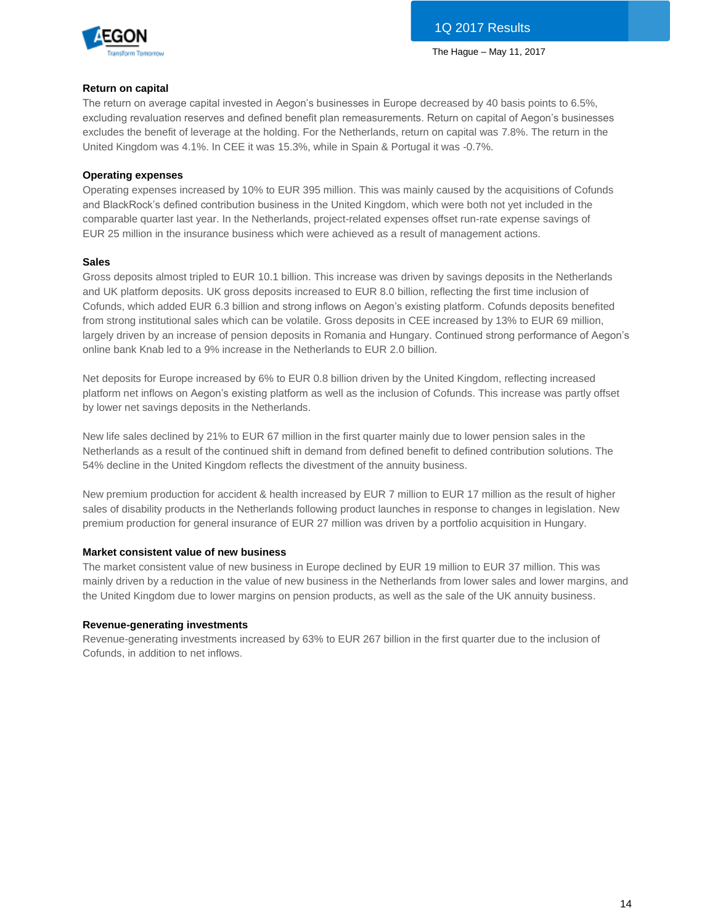

#### **Return on capital**

The return on average capital invested in Aegon's businesses in Europe decreased by 40 basis points to 6.5%, excluding revaluation reserves and defined benefit plan remeasurements. Return on capital of Aegon's businesses excludes the benefit of leverage at the holding. For the Netherlands, return on capital was 7.8%. The return in the United Kingdom was 4.1%. In CEE it was 15.3%, while in Spain & Portugal it was -0.7%.

### **Operating expenses**

Operating expenses increased by 10% to EUR 395 million. This was mainly caused by the acquisitions of Cofunds and BlackRock's defined contribution business in the United Kingdom, which were both not yet included in the comparable quarter last year. In the Netherlands, project-related expenses offset run-rate expense savings of EUR 25 million in the insurance business which were achieved as a result of management actions.

#### **Sales**

Gross deposits almost tripled to EUR 10.1 billion. This increase was driven by savings deposits in the Netherlands and UK platform deposits. UK gross deposits increased to EUR 8.0 billion, reflecting the first time inclusion of Cofunds, which added EUR 6.3 billion and strong inflows on Aegon's existing platform. Cofunds deposits benefited from strong institutional sales which can be volatile. Gross deposits in CEE increased by 13% to EUR 69 million, largely driven by an increase of pension deposits in Romania and Hungary. Continued strong performance of Aegon's online bank Knab led to a 9% increase in the Netherlands to EUR 2.0 billion.

Net deposits for Europe increased by 6% to EUR 0.8 billion driven by the United Kingdom, reflecting increased platform net inflows on Aegon's existing platform as well as the inclusion of Cofunds. This increase was partly offset by lower net savings deposits in the Netherlands.

New life sales declined by 21% to EUR 67 million in the first quarter mainly due to lower pension sales in the Netherlands as a result of the continued shift in demand from defined benefit to defined contribution solutions. The 54% decline in the United Kingdom reflects the divestment of the annuity business.

New premium production for accident & health increased by EUR 7 million to EUR 17 million as the result of higher sales of disability products in the Netherlands following product launches in response to changes in legislation. New premium production for general insurance of EUR 27 million was driven by a portfolio acquisition in Hungary.

# **Market consistent value of new business**

The market consistent value of new business in Europe declined by EUR 19 million to EUR 37 million. This was mainly driven by a reduction in the value of new business in the Netherlands from lower sales and lower margins, and the United Kingdom due to lower margins on pension products, as well as the sale of the UK annuity business.

#### **Revenue-generating investments**

Revenue-generating investments increased by 63% to EUR 267 billion in the first quarter due to the inclusion of Cofunds, in addition to net inflows.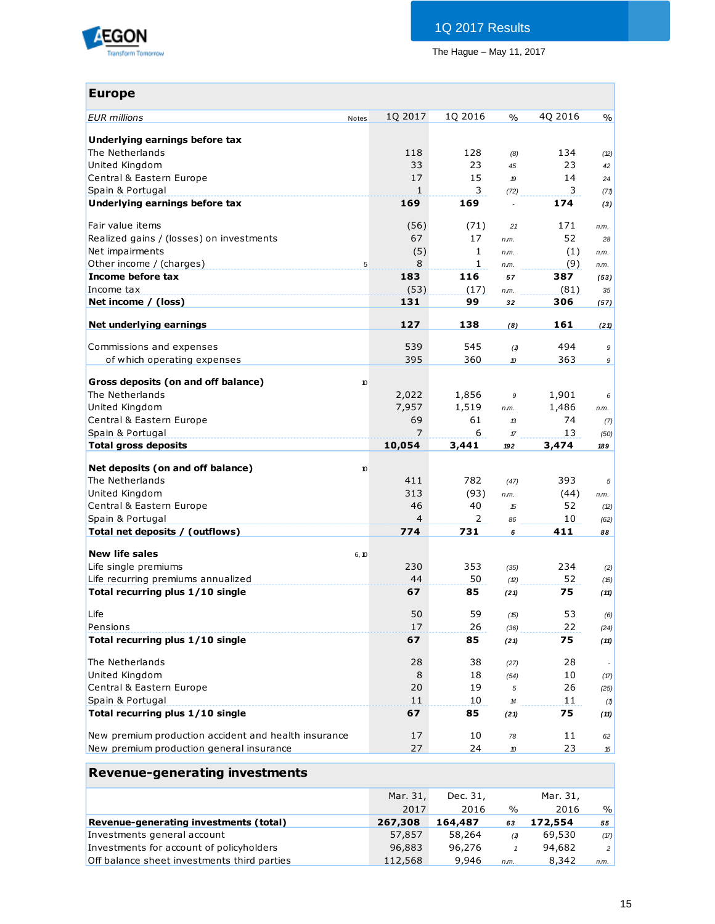

| <b>Europe</b>                                        |                |                |                                    |          |               |
|------------------------------------------------------|----------------|----------------|------------------------------------|----------|---------------|
| <b>EUR</b> millions<br>Notes                         | 1Q 2017        | 1Q 2016        | $\frac{0}{0}$                      | 4Q 2016  | $\frac{0}{0}$ |
|                                                      |                |                |                                    |          |               |
| Underlying earnings before tax                       |                |                |                                    |          |               |
| The Netherlands                                      | 118            | 128            | (8)                                | 134      | (2)           |
| United Kingdom                                       | 33             | 23             | 45                                 | 23       | 42            |
| Central & Eastern Europe                             | 17             | 15             | $\boldsymbol{p}$                   | 14       | 24            |
| Spain & Portugal                                     | 1              | 3              | (72)                               | 3        | (71)          |
| Underlying earnings before tax                       | 169            | 169            | $\overline{a}$                     | 174      | (3)           |
| Fair value items                                     | (56)           | (71)           | 21                                 | 171      | n.m.          |
| Realized gains / (losses) on investments             | 67             | 17             | n.m.                               | 52       | 28            |
| Net impairments                                      | (5)            | $\mathbf{1}$   | n.m.                               | (1)      | n.m.          |
| Other income / (charges)<br>5                        | 8              | 1              | n.m.                               | (9)      | n.m.          |
| Income before tax                                    | 183            | 116            | 57                                 | 387      | (53)          |
| Income tax                                           | (53)           | (17)           | n.m.                               | (81)     | 35            |
| Net income / (loss)                                  | 131            | 99             | 32                                 | 306      | (57)          |
|                                                      | 127            |                |                                    |          |               |
| Net underlying earnings                              |                | 138            | (8)                                | 161      | (21)          |
| Commissions and expenses                             | 539            | 545            | (1)                                | 494      | 9             |
| of which operating expenses                          | 395            | 360            | 10                                 | 363      | 9             |
|                                                      |                |                |                                    |          |               |
| Gross deposits (on and off balance)<br>10            |                |                |                                    |          |               |
| The Netherlands                                      | 2,022          | 1,856          | 9                                  | 1,901    | 6             |
| United Kingdom                                       | 7,957          | 1,519          | n.m.                               | 1,486    | n.m.          |
| Central & Eastern Europe                             | 69             | 61             | $\mathcal{B}$                      | 74       | (7)           |
| Spain & Portugal                                     | 7              | 6              | $\sqrt{\pi}$                       | 13       | (50)          |
| Total gross deposits                                 | 10,054         | 3,441          | 192                                | 3,474    | 189           |
| Net deposits (on and off balance)<br>10              |                |                |                                    |          |               |
| The Netherlands                                      | 411            | 782            | (47)                               | 393      | 5             |
| United Kingdom                                       | 313            | (93)           | n.m.                               | (44)     | n.m.          |
| Central & Eastern Europe                             | 46             | 40             | 15                                 | 52       | (2)           |
| Spain & Portugal                                     | $\overline{4}$ | $\overline{2}$ | 86                                 | 10       | (62)          |
| Total net deposits / (outflows)                      | 774            | 731            | 6                                  | 411      | 88            |
|                                                      |                |                |                                    |          |               |
| <b>New life sales</b><br>6, 10                       |                |                |                                    |          |               |
| Life single premiums                                 | 230            | 353            | (35)                               | 234      | (2)           |
| Life recurring premiums annualized                   | 44             | 50             | (2)                                | 52       | (15)          |
| Total recurring plus 1/10 single                     | 67             | 85             | (21)                               | 75       | (11)          |
| Life                                                 | 50             | 59             | (15)                               | 53       | (6)           |
| Pensions                                             | 17             | 26             | (36)                               | 22       | (24)          |
| Total recurring plus 1/10 single                     | 67             | 85             | (21)                               | 75       | (11)          |
| The Netherlands                                      | 28             | 38             |                                    | 28       |               |
| United Kingdom                                       | 8              | 18             | (27)                               | 10       |               |
|                                                      | 20             | 19             | (54)                               | 26       | (17)          |
| Central & Eastern Europe<br>Spain & Portugal         | 11             | 10             | 5                                  | 11       | (25)          |
| Total recurring plus 1/10 single                     | 67             | 85             | $\boldsymbol{\mathcal{H}}$<br>(21) | 75       | (1)           |
|                                                      |                |                |                                    |          | (11)          |
| New premium production accident and health insurance | 17             | 10             | 78                                 | 11       | 62            |
| New premium production general insurance             | 27             | 24             | 10                                 | 23       | 15            |
| <b>Revenue-generating investments</b>                |                |                |                                    |          |               |
|                                                      | Mar. 31,       | Dec. 31,       |                                    | Mar. 31, |               |
|                                                      | 2017           | 2016           | $\frac{0}{0}$                      | 2016     | $\%$          |
| Revenue-generating investments (total)               | 267,308        | 164,487        | 63                                 | 172,554  | 55            |
| ctmonte gonoral account                              | 57957          | <b>59 761</b>  |                                    | 60 520   |               |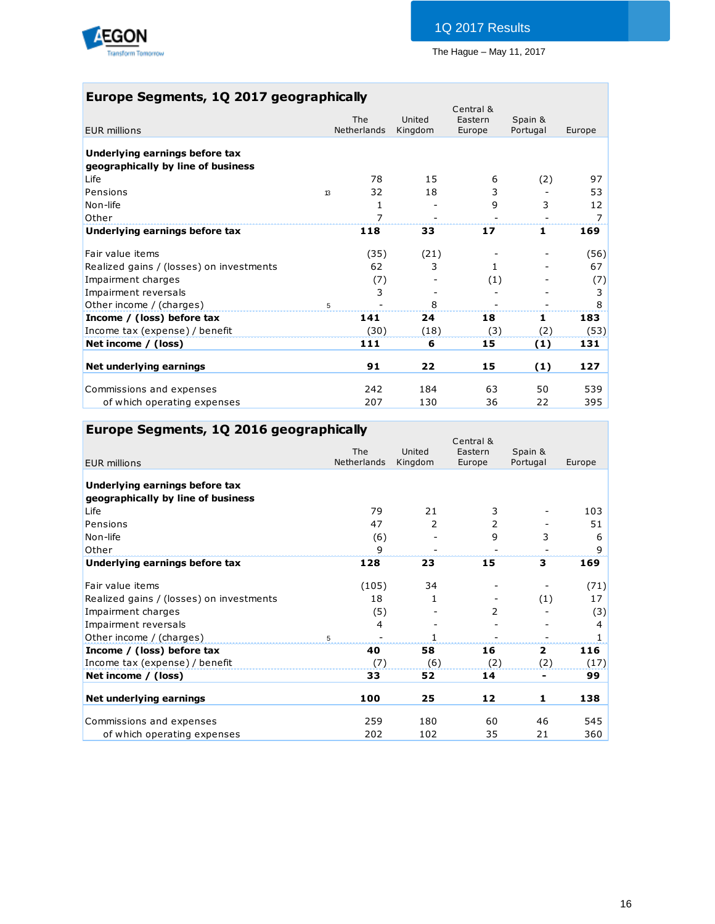

# **Europe Segments, 1Q 2017 geographically**

| <b>EUR millions</b>                      |    | The<br><b>Netherlands</b> | United<br>Kingdom        | Central &<br>Eastern<br>Europe | Spain &<br>Portugal | Europe |
|------------------------------------------|----|---------------------------|--------------------------|--------------------------------|---------------------|--------|
| Underlying earnings before tax           |    |                           |                          |                                |                     |        |
| geographically by line of business       |    |                           |                          |                                |                     |        |
| Life                                     |    | 78                        | 15                       | 6                              | (2)                 | 97     |
| Pensions                                 | 13 | 32                        | 18                       | 3                              |                     | 53     |
| Non-life                                 |    | 1                         |                          | 9                              | 3                   | 12     |
| Other                                    |    | 7                         | $\overline{\phantom{a}}$ |                                |                     | 7      |
| Underlying earnings before tax           |    | 118                       | 33                       | 17                             | 1                   | 169    |
| Fair value items                         |    | (35)                      | (21)                     |                                |                     | (56)   |
| Realized gains / (losses) on investments |    | 62                        | 3                        | 1.                             |                     | 67     |
| Impairment charges                       |    | (7)                       |                          | (1)                            |                     | (7)    |
| Impairment reversals                     |    | 3                         |                          |                                |                     | 3      |
| Other income / (charges)                 | 5  |                           | 8                        |                                |                     | 8      |
| Income / (loss) before tax               |    | 141                       | 24                       | 18                             | 1                   | 183    |
| Income tax (expense) / benefit           |    | (30)                      | (18)                     | (3)                            | (2)                 | (53)   |
| Net income / (loss)                      |    | 111                       | 6                        | 15                             | (1)                 | 131    |
| Net underlying earnings                  |    | 91                        | 22                       | 15                             | (1)                 | 127    |
|                                          |    |                           |                          |                                |                     |        |
| Commissions and expenses                 |    | 242                       | 184                      | 63                             | 50                  | 539    |
| of which operating expenses              |    | 207                       | 130                      | 36                             | 22                  | 395    |

# **Europe Segments, 1Q 2016 geographically**

| <b>EUR millions</b>                      | The<br>Netherlands | United<br>Kingdom | Central &<br>Eastern<br>Europe | Spain &<br>Portugal | Europe |
|------------------------------------------|--------------------|-------------------|--------------------------------|---------------------|--------|
| Underlying earnings before tax           |                    |                   |                                |                     |        |
| geographically by line of business       |                    |                   |                                |                     |        |
| Life                                     | 79                 | 21                | 3                              |                     | 103    |
| Pensions                                 | 47                 | 2                 | 2                              |                     | 51     |
| Non-life                                 | (6)                |                   | 9                              | 3                   | 6      |
| Other                                    | 9                  |                   |                                |                     | 9      |
| Underlying earnings before tax           | 128                | 23                | 15                             | 3                   | 169    |
| Fair value items                         | (105)              | 34                |                                |                     | (71)   |
| Realized gains / (losses) on investments | 18                 |                   |                                | (1)                 | 17     |
| Impairment charges                       | (5)                |                   | 2                              |                     | (3)    |
| Impairment reversals                     | 4                  |                   |                                |                     | 4      |
| Other income / (charges)                 | 5                  |                   |                                |                     | 1      |
| Income / (loss) before tax               | 40                 | 58                | 16                             | $\overline{2}$      | 116    |
| Income tax (expense) / benefit           | (7)                | (6)               | (2)                            | (2)                 | (17)   |
| Net income / (loss)                      | 33                 | 52                | 14                             | ۰                   | 99     |
| Net underlying earnings                  | 100                | 25                | 12                             | 1                   | 138    |
| Commissions and expenses                 | 259                | 180               | 60                             | 46                  | 545    |
| of which operating expenses              | 202                | 102               | 35                             | 21                  | 360    |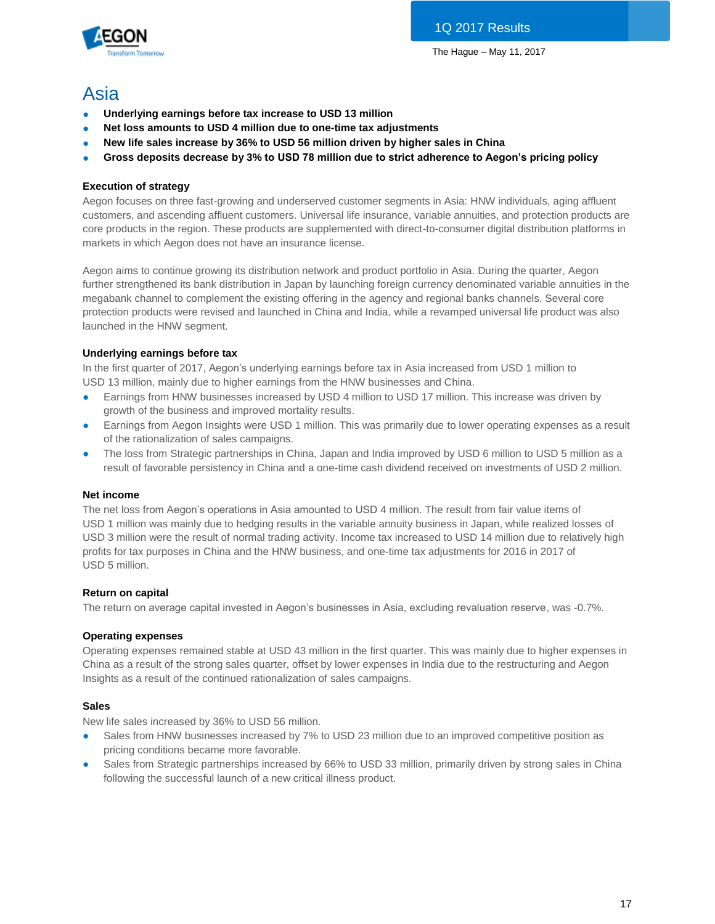

# Asia

- **Underlying earnings before tax increase to USD 13 million**
- Net loss amounts to USD 4 million due to one-time tax adjustments
- New life sales increase by 36% to USD 56 million driven by higher sales in China
- **Gross deposits decrease by 3% to USD 78 million due to strict adherence to Aegon's pricing policy**

# **Execution of strategy**

Aegon focuses on three fast-growing and underserved customer segments in Asia: HNW individuals, aging affluent customers, and ascending affluent customers. Universal life insurance, variable annuities, and protection products are core products in the region. These products are supplemented with direct-to-consumer digital distribution platforms in markets in which Aegon does not have an insurance license.

Aegon aims to continue growing its distribution network and product portfolio in Asia. During the quarter, Aegon further strengthened its bank distribution in Japan by launching foreign currency denominated variable annuities in the megabank channel to complement the existing offering in the agency and regional banks channels. Several core protection products were revised and launched in China and India, while a revamped universal life product was also launched in the HNW segment.

# **Underlying earnings before tax**

In the first quarter of 2017, Aegon's underlying earnings before tax in Asia increased from USD 1 million to USD 13 million, mainly due to higher earnings from the HNW businesses and China.

- Earnings from HNW businesses increased by USD 4 million to USD 17 million. This increase was driven by growth of the business and improved mortality results.
- Earnings from Aegon Insights were USD 1 million. This was primarily due to lower operating expenses as a result of the rationalization of sales campaigns.
- The loss from Strategic partnerships in China, Japan and India improved by USD 6 million to USD 5 million as a result of favorable persistency in China and a one-time cash dividend received on investments of USD 2 million.

# **Net income**

The net loss from Aegon's operations in Asia amounted to USD 4 million. The result from fair value items of USD 1 million was mainly due to hedging results in the variable annuity business in Japan, while realized losses of USD 3 million were the result of normal trading activity. Income tax increased to USD 14 million due to relatively high profits for tax purposes in China and the HNW business, and one-time tax adjustments for 2016 in 2017 of USD 5 million.

# **Return on capital**

The return on average capital invested in Aegon's businesses in Asia, excluding revaluation reserve, was -0.7%.

# **Operating expenses**

Operating expenses remained stable at USD 43 million in the first quarter. This was mainly due to higher expenses in China as a result of the strong sales quarter, offset by lower expenses in India due to the restructuring and Aegon Insights as a result of the continued rationalization of sales campaigns.

# **Sales**

New life sales increased by 36% to USD 56 million.

- Sales from HNW businesses increased by 7% to USD 23 million due to an improved competitive position as pricing conditions became more favorable.
- Sales from Strategic partnerships increased by 66% to USD 33 million, primarily driven by strong sales in China following the successful launch of a new critical illness product.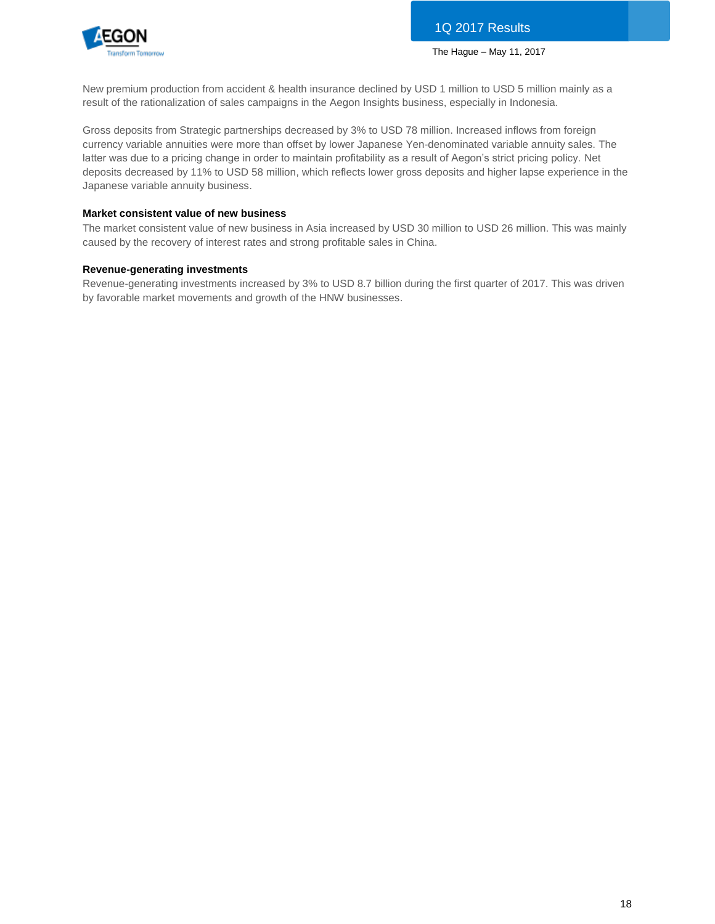

New premium production from accident & health insurance declined by USD 1 million to USD 5 million mainly as a result of the rationalization of sales campaigns in the Aegon Insights business, especially in Indonesia.

Gross deposits from Strategic partnerships decreased by 3% to USD 78 million. Increased inflows from foreign currency variable annuities were more than offset by lower Japanese Yen-denominated variable annuity sales. The latter was due to a pricing change in order to maintain profitability as a result of Aegon's strict pricing policy. Net deposits decreased by 11% to USD 58 million, which reflects lower gross deposits and higher lapse experience in the Japanese variable annuity business.

# **Market consistent value of new business**

The market consistent value of new business in Asia increased by USD 30 million to USD 26 million. This was mainly caused by the recovery of interest rates and strong profitable sales in China.

### **Revenue-generating investments**

Revenue-generating investments increased by 3% to USD 8.7 billion during the first quarter of 2017. This was driven by favorable market movements and growth of the HNW businesses.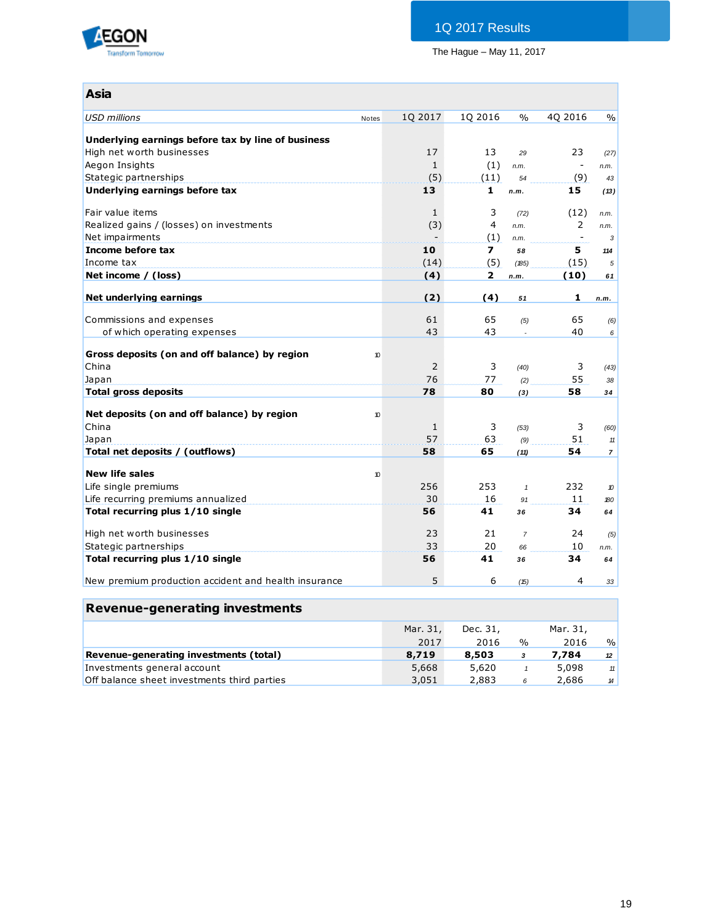

# 1Q 2017 Results

The Hague – May 11, 2017

| <b>Asia</b>                                          |                     |              |                         |                |                          |                  |
|------------------------------------------------------|---------------------|--------------|-------------------------|----------------|--------------------------|------------------|
| <b>USD</b> millions                                  | Notes               | 1Q 2017      | 1Q 2016                 | $\frac{0}{0}$  | 4Q 2016                  | $\frac{0}{0}$    |
|                                                      |                     |              |                         |                |                          |                  |
| Underlying earnings before tax by line of business   |                     |              |                         |                |                          |                  |
| High net worth businesses                            |                     | 17           | 13                      | 29             | 23                       | (27)             |
| Aegon Insights                                       |                     | $\mathbf{1}$ | (1)                     | n.m.           | $\overline{\phantom{a}}$ | n.m.             |
| Stategic partnerships                                |                     | (5)          | (11)                    | 54             | (9)                      | 43               |
| Underlying earnings before tax                       |                     | 13           | 1                       | n.m.           | 15                       | (13)             |
| Fair value items                                     |                     | 1            | 3                       | (72)           | (12)                     | n.m.             |
| Realized gains / (losses) on investments             |                     | (3)          | $\overline{4}$          | n.m.           | 2                        | n.m.             |
| Net impairments                                      |                     |              | (1)                     | n.m.           | $\overline{\phantom{0}}$ | 3                |
| Income before tax                                    |                     | 10           | $\overline{\mathbf{z}}$ | 58             | 5                        | 114              |
| Income tax                                           |                     | (14)         | (5)                     | (185)          | (15)                     | 5                |
| Net income / (loss)                                  |                     | (4)          | $\overline{2}$          | n.m.           | (10)                     | 61               |
|                                                      |                     |              |                         |                |                          |                  |
| Net underlying earnings                              |                     | (2)          | (4)                     | 51             | 1                        | n.m.             |
| Commissions and expenses                             |                     | 61           | 65                      | (5)            | 65                       | (6)              |
| of which operating expenses                          |                     | 43           | 43                      |                | 40                       | 6                |
|                                                      |                     |              |                         |                |                          |                  |
| Gross deposits (on and off balance) by region        | $\boldsymbol{\eta}$ |              |                         |                |                          |                  |
| China                                                |                     | 2            | 3                       | (40)           | 3                        | (43)             |
| Japan                                                |                     | 76           | 77                      | (2)            | 55                       | 38               |
| <b>Total gross deposits</b>                          |                     | 78           | 80                      | (3)            | 58                       | 34               |
| Net deposits (on and off balance) by region          | 10                  |              |                         |                |                          |                  |
| China                                                |                     | $\mathbf{1}$ | 3                       | (53)           | 3                        | (60)             |
| Japan                                                |                     | 57           | 63                      | (9)            | 51                       | $11$             |
| Total net deposits / (outflows)                      |                     | 58           | 65                      | (11)           | 54                       | $\overline{7}$   |
|                                                      |                     |              |                         |                |                          |                  |
| <b>New life sales</b>                                | 10                  |              |                         |                |                          |                  |
| Life single premiums                                 |                     | 256          | 253                     | $\mathbf{1}$   | 232                      | $\boldsymbol{v}$ |
| Life recurring premiums annualized                   |                     | 30           | 16                      | 91             | 11                       | 180              |
| Total recurring plus 1/10 single                     |                     | 56           | 41                      | 36             | 34                       | 64               |
|                                                      |                     |              |                         |                |                          |                  |
| High net worth businesses                            |                     | 23<br>33     | 21<br>20                | $\overline{7}$ | 24<br>10                 | (5)              |
| Stategic partnerships                                |                     | 56           | 41                      | 66             | 34                       | n.m.             |
| Total recurring plus 1/10 single                     |                     |              |                         | 36             |                          | 64               |
| New premium production accident and health insurance |                     | 5            | 6                       | (15)           | $\overline{4}$           | 33               |
|                                                      |                     |              |                         |                |                          |                  |
| <b>Revenue-generating investments</b>                |                     |              |                         |                |                          |                  |

|                                             | Mar. 31.<br>2017 | Dec. 31,<br>2016 | $\frac{1}{2}$ | Mar. 31,<br>2016 | $\%$          |
|---------------------------------------------|------------------|------------------|---------------|------------------|---------------|
| Revenue-generating investments (total)      | 8,719            | 8,503            | 3             | 7.784            | 12            |
| Investments general account                 | 5,668            | 5,620            |               | 5,098            | 11            |
| Off balance sheet investments third parties | 3,051            | 2,883            | 6             | 2.686            | $\mathcal{H}$ |

# 19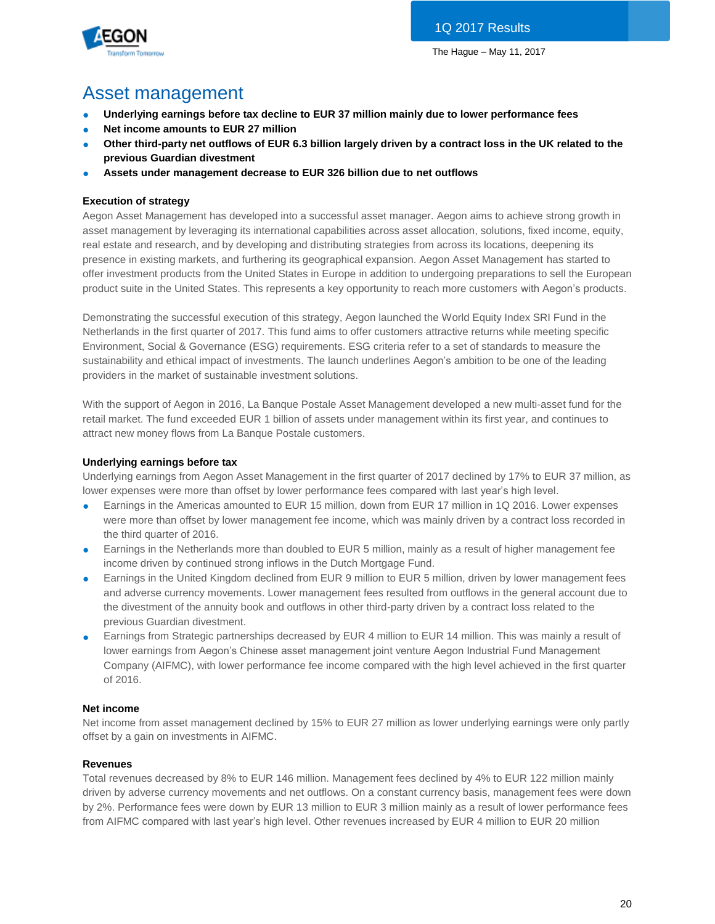

# Asset management

- **Underlying earnings before tax decline to EUR 37 million mainly due to lower performance fees**
- **Net income amounts to EUR 27 million**
- Other third-party net outflows of EUR 6.3 billion largely driven by a contract loss in the UK related to the **previous Guardian divestment**
- **Assets under management decrease to EUR 326 billion due to net outflows**

# **Execution of strategy**

Aegon Asset Management has developed into a successful asset manager. Aegon aims to achieve strong growth in asset management by leveraging its international capabilities across asset allocation, solutions, fixed income, equity, real estate and research, and by developing and distributing strategies from across its locations, deepening its presence in existing markets, and furthering its geographical expansion. Aegon Asset Management has started to offer investment products from the United States in Europe in addition to undergoing preparations to sell the European product suite in the United States. This represents a key opportunity to reach more customers with Aegon's products.

Demonstrating the successful execution of this strategy, Aegon launched the World Equity Index SRI Fund in the Netherlands in the first quarter of 2017. This fund aims to offer customers attractive returns while meeting specific Environment, Social & Governance (ESG) requirements. ESG criteria refer to a set of standards to measure the sustainability and ethical impact of investments. The launch underlines Aegon's ambition to be one of the leading providers in the market of sustainable investment solutions.

With the support of Aegon in 2016, La Banque Postale Asset Management developed a new multi-asset fund for the retail market. The fund exceeded EUR 1 billion of assets under management within its first year, and continues to attract new money flows from La Banque Postale customers.

# **Underlying earnings before tax**

Underlying earnings from Aegon Asset Management in the first quarter of 2017 declined by 17% to EUR 37 million, as lower expenses were more than offset by lower performance fees compared with last year's high level.

- Earnings in the Americas amounted to EUR 15 million, down from EUR 17 million in 1Q 2016. Lower expenses were more than offset by lower management fee income, which was mainly driven by a contract loss recorded in the third quarter of 2016.
- Earnings in the Netherlands more than doubled to EUR 5 million, mainly as a result of higher management fee income driven by continued strong inflows in the Dutch Mortgage Fund.
- Earnings in the United Kingdom declined from EUR 9 million to EUR 5 million, driven by lower management fees and adverse currency movements. Lower management fees resulted from outflows in the general account due to the divestment of the annuity book and outflows in other third-party driven by a contract loss related to the previous Guardian divestment.
- Earnings from Strategic partnerships decreased by EUR 4 million to EUR 14 million. This was mainly a result of lower earnings from Aegon's Chinese asset management joint venture Aegon Industrial Fund Management Company (AIFMC), with lower performance fee income compared with the high level achieved in the first quarter of 2016.

# **Net income**

Net income from asset management declined by 15% to EUR 27 million as lower underlying earnings were only partly offset by a gain on investments in AIFMC.

# **Revenues**

Total revenues decreased by 8% to EUR 146 million. Management fees declined by 4% to EUR 122 million mainly driven by adverse currency movements and net outflows. On a constant currency basis, management fees were down by 2%. Performance fees were down by EUR 13 million to EUR 3 million mainly as a result of lower performance fees from AIFMC compared with last year's high level. Other revenues increased by EUR 4 million to EUR 20 million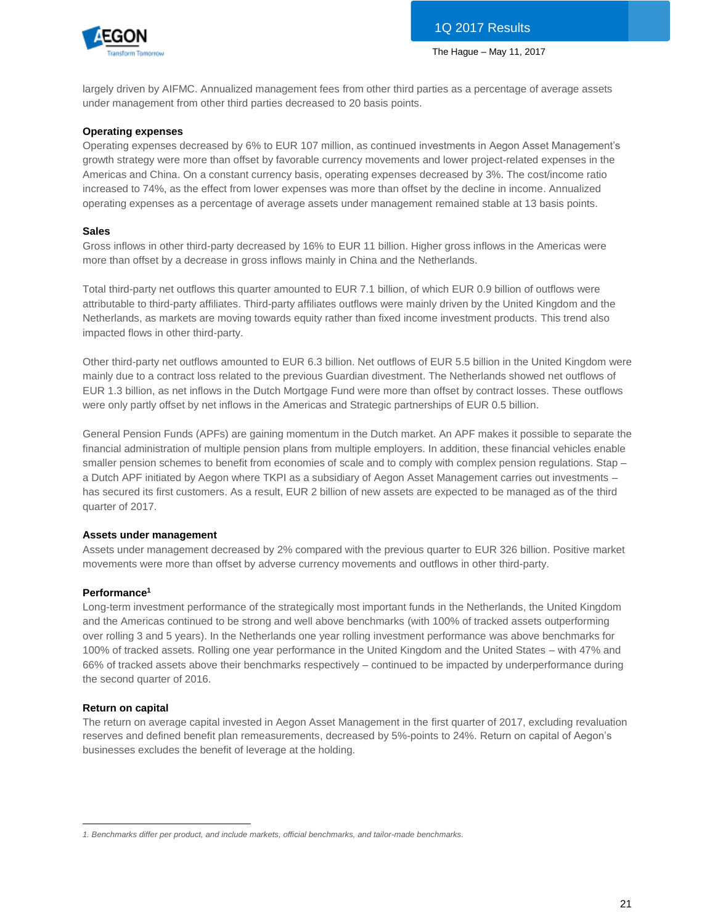

largely driven by AIFMC. Annualized management fees from other third parties as a percentage of average assets under management from other third parties decreased to 20 basis points.

#### **Operating expenses**

Operating expenses decreased by 6% to EUR 107 million, as continued investments in Aegon Asset Management's growth strategy were more than offset by favorable currency movements and lower project-related expenses in the Americas and China. On a constant currency basis, operating expenses decreased by 3%. The cost/income ratio increased to 74%, as the effect from lower expenses was more than offset by the decline in income. Annualized operating expenses as a percentage of average assets under management remained stable at 13 basis points.

#### **Sales**

Gross inflows in other third-party decreased by 16% to EUR 11 billion. Higher gross inflows in the Americas were more than offset by a decrease in gross inflows mainly in China and the Netherlands.

Total third-party net outflows this quarter amounted to EUR 7.1 billion, of which EUR 0.9 billion of outflows were attributable to third-party affiliates. Third-party affiliates outflows were mainly driven by the United Kingdom and the Netherlands, as markets are moving towards equity rather than fixed income investment products. This trend also impacted flows in other third-party.

Other third-party net outflows amounted to EUR 6.3 billion. Net outflows of EUR 5.5 billion in the United Kingdom were mainly due to a contract loss related to the previous Guardian divestment. The Netherlands showed net outflows of EUR 1.3 billion, as net inflows in the Dutch Mortgage Fund were more than offset by contract losses. These outflows were only partly offset by net inflows in the Americas and Strategic partnerships of EUR 0.5 billion.

General Pension Funds (APFs) are gaining momentum in the Dutch market. An APF makes it possible to separate the financial administration of multiple pension plans from multiple employers. In addition, these financial vehicles enable smaller pension schemes to benefit from economies of scale and to comply with complex pension regulations. Stap a Dutch APF initiated by Aegon where TKPI as a subsidiary of Aegon Asset Management carries out investments – has secured its first customers. As a result, EUR 2 billion of new assets are expected to be managed as of the third quarter of 2017.

# **Assets under management**

Assets under management decreased by 2% compared with the previous quarter to EUR 326 billion. Positive market movements were more than offset by adverse currency movements and outflows in other third-party.

# **Performance<sup>1</sup>**

Long-term investment performance of the strategically most important funds in the Netherlands, the United Kingdom and the Americas continued to be strong and well above benchmarks (with 100% of tracked assets outperforming over rolling 3 and 5 years). In the Netherlands one year rolling investment performance was above benchmarks for 100% of tracked assets. Rolling one year performance in the United Kingdom and the United States – with 47% and 66% of tracked assets above their benchmarks respectively – continued to be impacted by underperformance during the second quarter of 2016.

#### **Return on capital**

The return on average capital invested in Aegon Asset Management in the first quarter of 2017, excluding revaluation reserves and defined benefit plan remeasurements, decreased by 5%-points to 24%. Return on capital of Aegon's businesses excludes the benefit of leverage at the holding.

 $\overline{a}$ *1. Benchmarks differ per product, and include markets, official benchmarks, and tailor-made benchmarks.*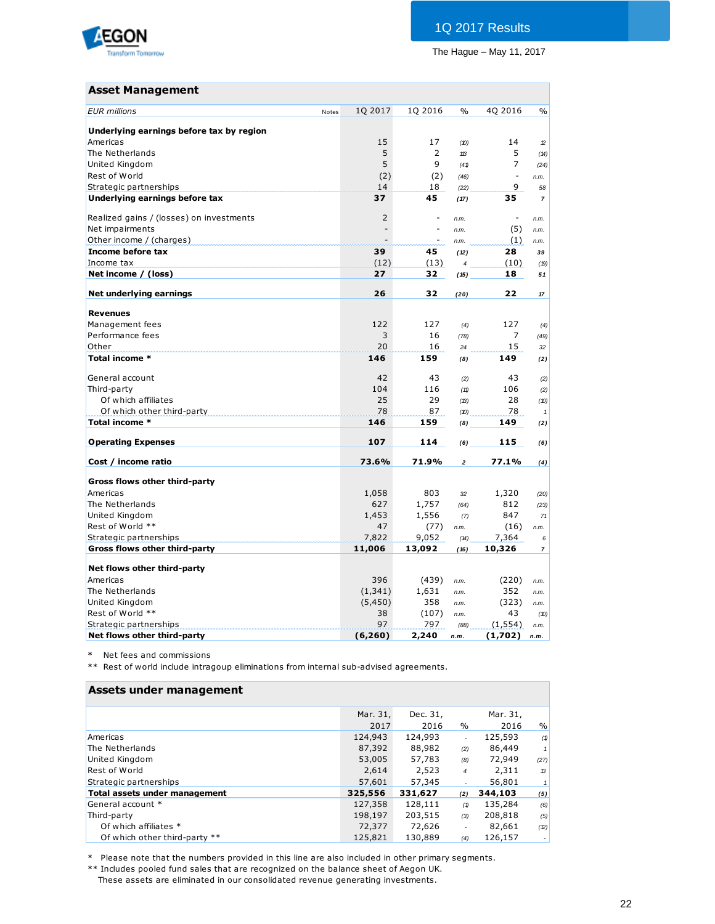

# **Asset Management**

| <b>EUR</b> millions                      | Notes | 1Q 2017        | 1Q 2016        | $\frac{0}{0}$      | 4Q 2016                  | $\%$           |
|------------------------------------------|-------|----------------|----------------|--------------------|--------------------------|----------------|
| Underlying earnings before tax by region |       |                |                |                    |                          |                |
| Americas                                 |       | 15             | 17             | (10)               | 14                       | 12             |
| The Netherlands                          |       | 5              | $\overline{2}$ | 113                | 5                        | (14)           |
|                                          |       | 5              | 9              |                    | $\overline{7}$           |                |
| United Kingdom                           |       |                |                | (41)               | $\overline{\phantom{a}}$ | (24)           |
| Rest of World                            |       | (2)            | (2)            | (46)               |                          | n.m.           |
| Strategic partnerships                   |       | 14             | 18             | (22)               | 9                        | 58             |
| Underlying earnings before tax           |       | 37             | 45             | (17)               | 35                       | $\overline{7}$ |
| Realized gains / (losses) on investments |       | $\overline{2}$ | ۰              | n.m.               | $\overline{\phantom{a}}$ | n.m.           |
| Net impairments                          |       | $\overline{a}$ | L              | n.m.               | (5)                      | n.m.           |
| Other income / (charges)                 |       |                | ۰              | n.m.               | (1)                      | n.m.           |
| Income before tax                        |       | 39             | 45             | (12)               | 28                       | 39             |
| Income tax                               |       | (12)           | (13)           | $\overline{\bf 4}$ | (10)                     | (19)           |
| Net income / (loss)                      |       | 27             | 32             | (15)               | 18                       | 51             |
|                                          |       |                |                |                    |                          |                |
| Net underlying earnings                  |       | 26             | 32             | (20)               | 22                       | 17             |
|                                          |       |                |                |                    |                          |                |
| <b>Revenues</b>                          |       |                |                |                    |                          |                |
| Management fees                          |       | 122            | 127            | (4)                | 127                      | (4)            |
| Performance fees                         |       | 3              | 16             | (78)               | 7                        | (49)           |
| Other                                    |       | 20             | 16             | 24                 | 15                       | 32             |
| Total income *                           |       | 146            | 159            | (8)                | 149                      | (2)            |
| General account                          |       | 42             | 43             | (2)                | 43                       | (2)            |
| Third-party                              |       | 104            | 116            | (11)               | 106                      | (2)            |
| Of which affiliates                      |       | 25             | 29             | (13)               | 28                       | (10)           |
| Of which other third-party               |       | 78             | 87             | (D)                | 78                       | $\overline{1}$ |
| Total income *                           |       | 146            | 159            | (8)                | 149                      | (2)            |
|                                          |       |                |                |                    |                          |                |
| <b>Operating Expenses</b>                |       | 107            | 114            | (6)                | 115                      | (6)            |
| Cost / income ratio                      |       | 73.6%          | 71.9%          | $\overline{a}$     | 77.1%                    | (4)            |
|                                          |       |                |                |                    |                          |                |
| Gross flows other third-party            |       |                |                |                    |                          |                |
| Americas                                 |       | 1,058          | 803            | 32                 | 1,320                    | (20)           |
| The Netherlands                          |       | 627            | 1,757          | (64)               | 812                      | (23)           |
| United Kingdom                           |       | 1,453          | 1,556          | (7)                | 847                      | 71             |
| Rest of World **                         |       | 47             | (77)           | n.m.               | (16)                     | n.m.           |
| Strategic partnerships                   |       | 7,822          | 9,052          | (14)               | 7,364                    | 6              |
| Gross flows other third-party            |       | 11,006         | 13,092         | (16)               | 10,326                   | $\overline{7}$ |
|                                          |       |                |                |                    |                          |                |
| Net flows other third-party              |       |                |                |                    |                          |                |
| Americas                                 |       | 396            | (439)          | n.m.               | (220)                    | n.m.           |
| The Netherlands                          |       | (1, 341)       | 1,631          | n.m.               | 352                      | n.m.           |
| United Kingdom                           |       | (5,450)        | 358            | n.m.               | (323)                    | n.m.           |
| Rest of World **                         |       | 38             | (107)          | n.m.               | 43                       | (10)           |
| Strategic partnerships                   |       | 97             | 797            | (88)               | (1, 554)                 | n.m.           |
| Net flows other third-party              |       | (6, 260)       | 2,240          | n.m.               | (1,702)                  | n.m.           |

\* Net fees and commissions

\*\* Rest of world include intragoup eliminations from internal sub-advised agreements.

# **Assets under management**

| Assets ander management              |          |          |                |          |                |
|--------------------------------------|----------|----------|----------------|----------|----------------|
|                                      | Mar. 31, | Dec. 31, |                | Mar. 31, |                |
|                                      | 2017     | 2016     | $\%$           | 2016     | $\frac{0}{0}$  |
| Americas                             | 124,943  | 124,993  | ٠              | 125,593  | (1)            |
| The Netherlands                      | 87,392   | 88,982   | (2)            | 86,449   | 1 <sup>1</sup> |
| United Kingdom                       | 53,005   | 57,783   | (8)            | 72,949   | (27)           |
| Rest of World                        | 2.614    | 2,523    | $\overline{4}$ | 2,311    | $\mathcal{B}$  |
| Strategic partnerships               | 57,601   | 57,345   |                | 56,801   | 1              |
| <b>Total assets under management</b> | 325,556  | 331,627  | (2)            | 344,103  | (5)            |
| General account *                    | 127,358  | 128,111  | (1)            | 135,284  | (6)            |
| Third-party                          | 198,197  | 203,515  | (3)            | 208,818  | (5)            |
| Of which affiliates *                | 72,377   | 72,626   | ٠              | 82,661   | (2)            |
| Of which other third-party **        | 125,821  | 130,889  | (4)            | 126,157  |                |

\* Please note that the numbers provided in this line are also included in other primary segments.

\*\* Includes pooled fund sales that are recognized on the balance sheet of Aegon UK.

These assets are eliminated in our consolidated revenue generating investments.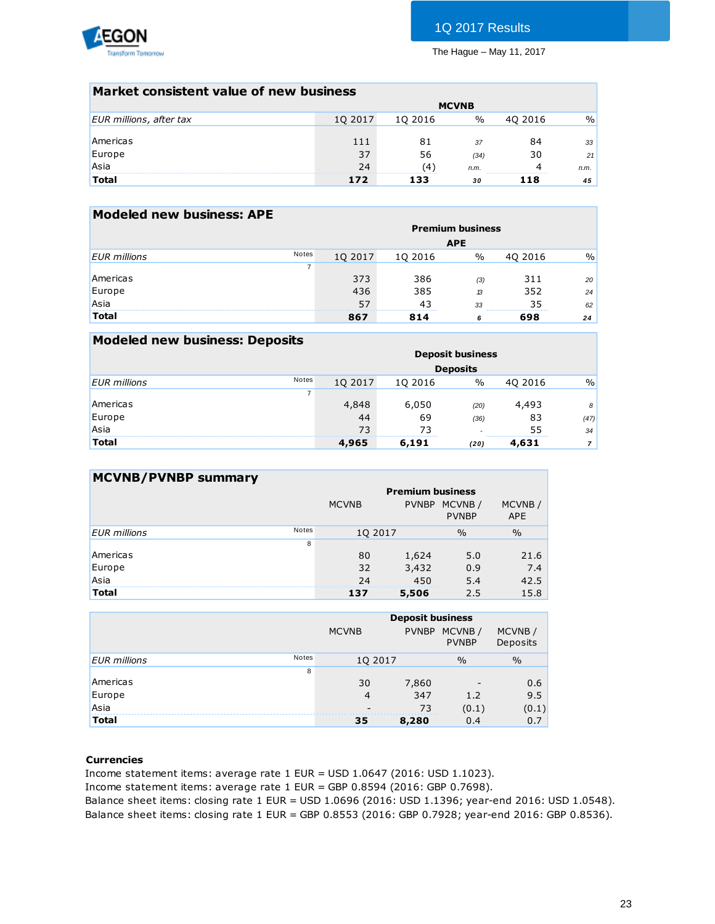

# 1Q 2017 Results

The Hague – May 11, 2017

| Market consistent value of new business |         |         |              |         |      |
|-----------------------------------------|---------|---------|--------------|---------|------|
|                                         |         |         | <b>MCVNB</b> |         |      |
| EUR millions, after tax                 | 10 2017 | 10 2016 | $\%$         | 40 2016 | $\%$ |
|                                         |         |         |              |         |      |
| Americas                                | 111     | 81      | 37           | 84      | 33   |
| Europe                                  | 37      | 56      | (34)         | 30      | 21   |
| Asia                                    | 24      | (4)     | n.m.         | 4       | n.m. |
| <b>Total</b>                            | 172     | 133     | 30           | 118     | 45   |
|                                         |         |         |              |         |      |

| <b>Modeled new business: APE</b> |              |         |         |                         |         |      |
|----------------------------------|--------------|---------|---------|-------------------------|---------|------|
|                                  |              |         |         | <b>Premium business</b> |         |      |
|                                  |              |         |         | <b>APE</b>              |         |      |
| <b>EUR</b> millions              | <b>Notes</b> | 10 2017 | 10 2016 | $\%$                    | 40 2016 | $\%$ |
|                                  |              |         |         |                         |         |      |
| Americas                         |              | 373     | 386     | (3)                     | 311     | 20   |
| Europe                           |              | 436     | 385     | 13                      | 352     | 24   |
| Asia                             |              | 57      | 43      | 33                      | 35      | 62   |
| <b>Total</b>                     |              | 867     | 814     | 6                       | 698     | 24   |
|                                  |              |         |         |                         |         |      |

| <b>Modeled new business: Deposits</b> |                |         |         |                         |         |               |
|---------------------------------------|----------------|---------|---------|-------------------------|---------|---------------|
|                                       |                |         |         | <b>Deposit business</b> |         |               |
|                                       |                |         |         | <b>Deposits</b>         |         |               |
| <b>EUR</b> millions                   | <b>Notes</b>   | 10 2017 | 10 2016 | $\%$                    | 40 2016 | $\frac{0}{0}$ |
|                                       | $\overline{7}$ |         |         |                         |         |               |
| Americas                              |                | 4,848   | 6,050   | (20)                    | 4,493   | 8             |
| Europe                                |                | 44      | 69      | (36)                    | 83      | (47)          |
| Asia                                  |                | 73      | 73      |                         | 55      | 34            |
| <b>Total</b>                          |                | 4,965   | 6,191   | (20)                    | 4,631   |               |

| <b>MCVNB/PVNBP summary</b> |              |              |              |                         |                      |
|----------------------------|--------------|--------------|--------------|-------------------------|----------------------|
|                            |              |              |              | <b>Premium business</b> |                      |
|                            |              | <b>MCVNB</b> | <b>PVNBP</b> | MCVNB/<br><b>PVNBP</b>  | MCVNB/<br><b>APE</b> |
| <b>EUR</b> millions        | <b>Notes</b> | 10 2017      |              | $\frac{0}{0}$           | $\frac{0}{0}$        |
|                            | 8            |              |              |                         |                      |
| Americas                   |              | 80           | 1,624        | 5.0                     | 21.6                 |
| Europe                     |              | 32           | 3,432        | 0.9                     | 7.4                  |
| Asia                       |              | 24           | 450          | 5.4                     | 42.5                 |
| Total                      |              | 137          | 5,506        | 2.5                     | 15.8                 |

|                     |              |              | <b>Deposit business</b> |                        |                    |
|---------------------|--------------|--------------|-------------------------|------------------------|--------------------|
|                     |              | <b>MCVNB</b> | <b>PVNBP</b>            | MCVNB/<br><b>PVNBP</b> | MCVNB/<br>Deposits |
| <b>EUR</b> millions | <b>Notes</b> | 1Q 2017      |                         | $\frac{0}{0}$          | $\frac{0}{0}$      |
|                     | 8            |              |                         |                        |                    |
| Americas            |              | 30           | 7,860                   |                        | 0.6                |
| Europe              |              | 4            | 347                     | 1.2                    | 9.5                |
| Asia                |              |              | 73                      | (0.1)                  | (0.1)              |
| <b>Total</b>        |              | 35           | 8,280                   | 0.4                    | 0.7                |
|                     |              |              |                         |                        |                    |

### **Currencies**

Income statement items: average rate 1 EUR = USD 1.0647 (2016: USD 1.1023). Income statement items: average rate 1 EUR = GBP 0.8594 (2016: GBP 0.7698). Balance sheet items: closing rate 1 EUR = USD 1.0696 (2016: USD 1.1396; year-end 2016: USD 1.0548). Balance sheet items: closing rate 1 EUR = GBP 0.8553 (2016: GBP 0.7928; year-end 2016: GBP 0.8536).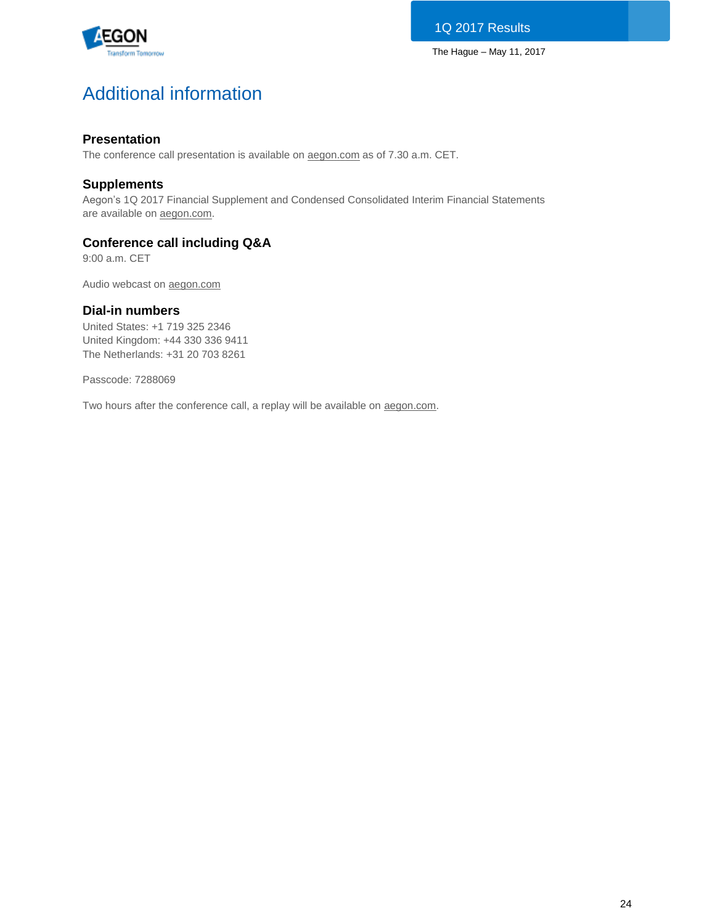

# Additional information

# **Presentation**

The conference call presentation is available on [aegon.com](http://www.aegon.com/results) as of 7.30 a.m. CET.

# **Supplements**

Aegon's 1Q 2017 Financial Supplement and Condensed Consolidated Interim Financial Statements are available on [aegon.com.](http://www.aegon.com/results)

# **Conference call including Q&A**

9:00 a.m. CET

Audio webcast on [aegon.com](http://www.aegon.com/results)

# **Dial-in numbers**

United States: +1 719 325 2346 United Kingdom: +44 330 336 9411 The Netherlands: +31 20 703 8261

Passcode: 7288069

Two hours after the conference call, a replay will be available on [aegon.com.](http://www.aegon.com/results)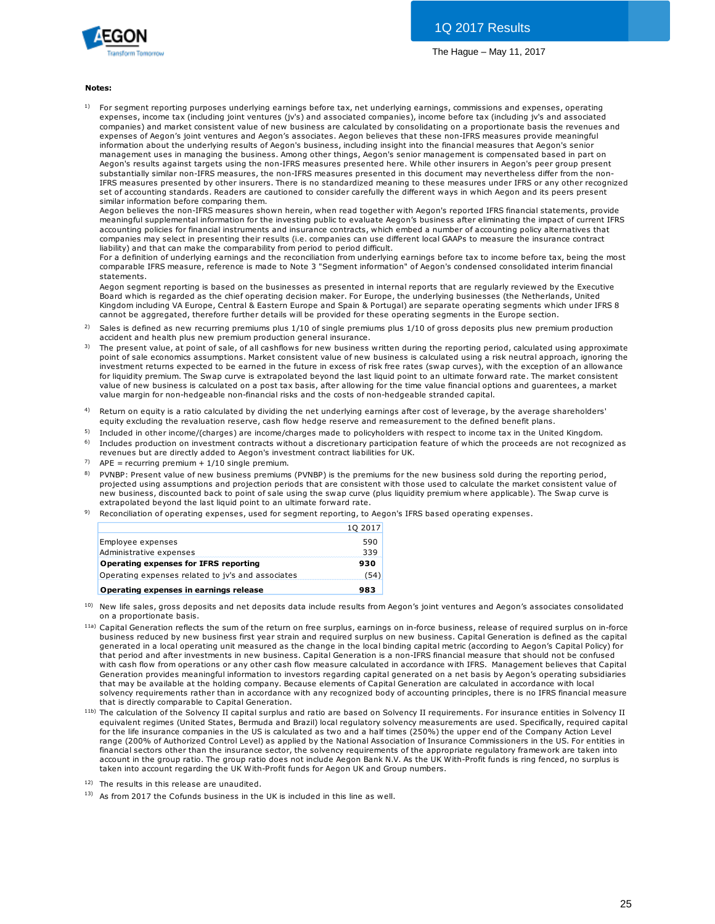

#### **Notes:**

1) For segment reporting purposes underlying earnings before tax, net underlying earnings, commissions and expenses, operating expenses, income tax (including joint ventures (jv's) and associated companies), income before tax (including jv's and associated **es:**<br>For segment reporting purposes underlying earnings before tax, net underlying earnings, commissions and expenses, operating<br>expenses, income tax (including joint ventures (jv's) and associated companies), income befo expenses of Aegon's joint ventures and Aegon's associates. Aegon believes that these non-IFRS measures provide meaningful information about the underlying results of Aegon's business, including insight into the financial measures that Aegon's senior management uses in managing the business. Among other things, Aegon's senior management is compensated based in part on Aegon's results against targets using the non-IFRS measures presented here. While other insurers in Aegon's peer group present substantially similar non-IFRS measures, the non-IFRS measures presented in this document may nevertheless differ from the non-IFRS measures presented by other insurers. There is no standardized meaning to these measures under IFRS or any other recognized set of accounting standards. Readers are cautioned to consider carefully the different ways in which Aegon and its peers present similar information before comparing them.

Aegon believes the non-IFRS measures shown herein, when read together with Aegon's reported IFRS financial statements, provide meaningful supplemental information for the investing public to evaluate Aegon's business after eliminating the impact of current IFRS accounting policies for financial instruments and insurance contracts, which embed a number of accounting policy alternatives that companies may select in presenting their results (i.e. companies can use different local GAAPs to measure the insurance contract liability) and that can make the comparability from period to period difficult.

For a definition of underlying earnings and the reconciliation from underlying earnings before tax to income before tax, being the most comparable IFRS measure, reference is made to Note 3 "Segment information" of Aegon's condensed consolidated interim financial statements.

Aegon segment reporting is based on the businesses as presented in internal reports that are regularly reviewed by the Executive Board which is regarded as the chief operating decision maker. For Europe, the underlying businesses (the Netherlands, United Kingdom including VA Europe, Central & Eastern Europe and Spain & Portugal) are separate operating segments which under IFRS 8 cannot be aggregated, therefore further details will be provided for these operating segments in the Europe section. statements.<br>Aegon segment reporting is based on the businesses as presented in internal reports that are regularly reviewed by the Executive<br>Board which is regarded as the chief operating decision maker. For Europe, the un Aegon segment reporting is based on the businesses as presented ir<br>Board which is regarded as the chief operating decision maker. For Ekingdom including VA Europe, Central & Eastern Europe and Spain & l<br>Cannot be aggregate Board which is regarded as the chief operating decision maker. For Europe, the underlying businesses (the Netherlands, United<br>Kingdom including VA Europe, Central & Eastern Europe and Spain & Portugal) are separate operati

- 2)
- 3) Kingdom including VA Europe, Central & Eastern Europe and Spain & Portugal) are separate operating segments which under IFRS 8<br>cannot be aggregated, therefore further details will be provided for these operating segments i investment returns expected to be earned in the future in excess of risk free rates (swap curves), with the exception of an allowance for liquidity premium. The Swap curve is extrapolated beyond the last liquid point to an ultimate forward rate. The market consistent Sales is defined as new recurring premiums plus 1/10 of single premiums plus 1/10 of gross deposits plus new premium production accident and health plus new premium production general insurance.<br>The present value, at point value margin for non-hedgeable non-financial risks and the costs of non-hedgeable stranded capital. value of new business is calculated on a post tax basis, after allowing for the time value financial options and guarentees, a market
- 4) Return on equity is a ratio calculated by dividing the net underlying earnings after cost of leverage, by the average shareholders'<br>equity excluding the revaluation reserve, cash flow hedge reserve and remeasurement to the
- 5) Included in other income/(charges) are income/charges made to policyholders with respect to income tax in the United Kingdom.
- 6) Includes production on investment contracts without a discretionary participation feature of which the proceeds are not recognized as revenues but are directly added to Aegon's investment contract liabilities for UK.
- 7)  $APE = recurring$  premium + 1/10 single premium.
- 8) equity excluding the revaluation reserve, cash how hedge reserve and remeasurement to the delined benefit plans.<br>Included in other income/(charges) are income/charges made to policyholders with respect to income tax in the projected using assumptions and projection periods that are consistent with those used to calculate the market consistent value of PVNBP: Present value of new business premiums (PVNBP) is the premiums for the new business sold during the reporting period, projected using assumptions and projection periods that are consistent with those used to calcula extrapolated beyond the last liquid point to an ultimate forward rate.
- 9) Reconciliation of operating expenses, used for segment reporting, to Aegon's IFRS based operating expenses.

|                                                   | 10 2017 |
|---------------------------------------------------|---------|
| Employee expenses                                 | 590     |
| Administrative expenses                           | 339     |
| Operating expenses for IFRS reporting             | 930     |
| Operating expenses related to jv's and associates | (54)    |
| Operating expenses in earnings release            | 983     |

- 10) on a proportionate basis.
- <sup>11a)</sup> Capital Generation reflects the sum of the return on free surplus, earnings on in-force business, release of required surplus on in-force **Operating expenses in earnings release**<br> **983**<br>
New life sales, gross deposits and net deposits data include results from Aegon's joint ventures and Aegon's associates consolidated<br>
Capital Generation reflects the sum of generated in a local operating unit measured as the change in the local binding capital metric (according to Aegon's Capital Policy) for<br>that period and after investments in new business. Capital Generation is a non-IFRS f New life sales, gross deposits and net deposits data include results from Aegon's joint ventures and Aegon's associates consolidate<br>on a proportionate basis.<br>Capital Generation reflects the sum of the return on free surplu on a proportionate basis.<br>Capital Generation reflects the sum of the return on free surplus, earnings on in-force business, release of required surplus on in-force<br>business reduced by new business first year strain and req Generation provides meaningful information to investors regarding capital generated on a net basis by Aegon's operating subsidiaries that may be available at the holding company. Because elements of Capital Generation are calculated in accordance with local solvency requirements rather than in accordance with any recognized body of accounting principles, there is no IFRS financial measure that is directly comparable to Capital Generation.
- 11b) The calculation of the Solvency II capital surplus and ratio are based on Solvency II requirements. For insurance entities in Solvency II equivalent regimes (United States, Bermuda and Brazil) local regulatory solvency measurements are used. Specifically, required capital for the life insurance companies in the US is calculated as two and a half times (250%) the upper end of the Company Action Level range (200% of Authorized Control Level) as applied by the National Association of Insurance Commissioners in the US. For entities in financial sectors other than the insurance sector, the solvency requirements of the appropriate regulatory framework are taken into account in the group ratio. The group ratio does not include Aegon Bank N.V. As the UK With-Profit funds is ring fenced, no surplus is taken into account regarding the UK With-Profit funds for Aegon UK and Group numbers.
- 12) The results in this release are unaudited.
- 13) As from 2017 the Cofunds business in the UK is included in this line as well.